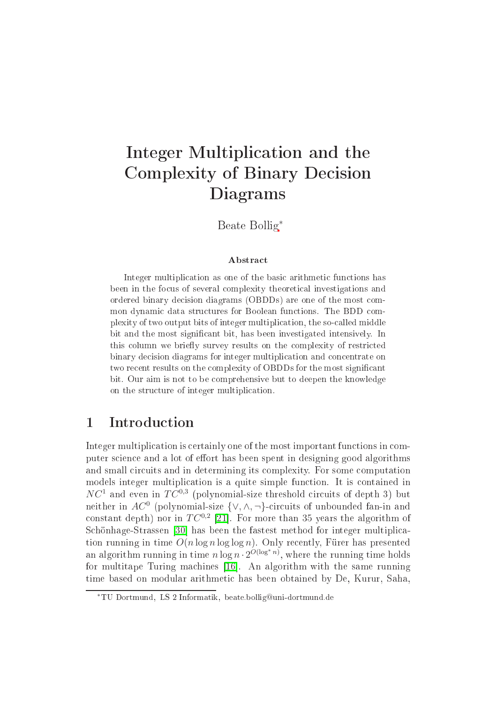# Integer Multipli
ation and the Complexity of Binary De
ision Diagrams

Beate Bollig∗

#### **Abstract**

Integer multiplication as one of the basic arithmetic functions has been in the focus of several complexity theoretical investigations and ordered binary decision diagrams (OBDDs) are one of the most common dynami data stru
tures for Boolean fun
tions. The BDD omplexity of two output bits of integer multipli
ation, the soalled middle bit and the most significant bit, has been investigated intensively. In this column we briefly survey results on the complexity of restricted binary decision diagrams for integer multiplication and concentrate on two recent results on the complexity of OBDDs for the most significant bit. Our aim is not to be omprehensive but to deepen the knowledge on the stru
ture of integer multipli
ation.

### 1 Introduction

Integer multiplication is certainly one of the most important functions in computer science and a lot of effort has been spent in designing good algorithms and small circuits and in determining its complexity. For some computation models integer multiplication is a quite simple function. It is contained in  $NC^1$  and even in  $TC^{0,3}$  (polynomial-size threshold circuits of depth 3) but neither in  $AC^0$  (polynomial-size  $\{\vee, \wedge, \neg\}$ -circuits of unbounded fan-in and constant depth) nor in  $TC^{0,2}$  [21]. For more than 35 years the algorithm of Schönhage-Strassen [30] has been the fastest method for integer multiplication running in time  $O(n \log n \log \log n)$ . Only recently, Fürer has presented an algorithm running in time  $n \log n \cdot 2^{\tilde{O}(\log^* n)}$ , where the running time holds for multitape Turing machines [16]. An algorithm with the same running time based on modular arithmetic has been obtained by De, Kurur, Saha,

<sup>\*</sup>TU Dortmund, LS 2 Informatik, beate.bollig@uni-dortmund.de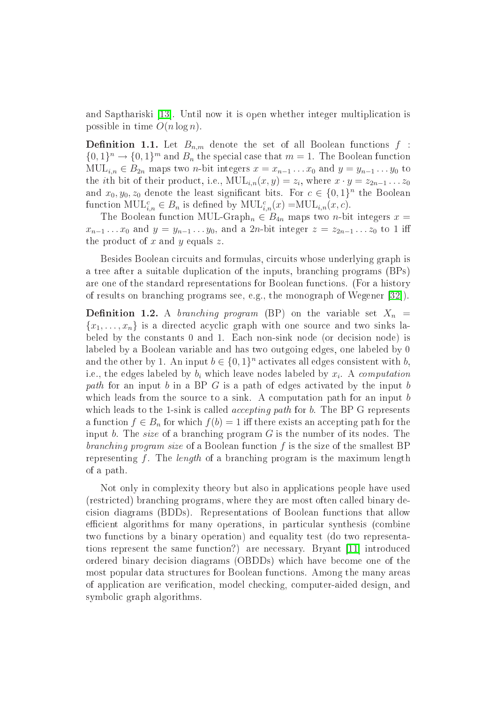and Sapthariski [13]. Until now it is open whether integer multiplication is possible in time  $O(n \log n)$ .

 ${\bf Definition \ \ 1.1. \ \ }$  Let  $B_{n,m}$  denote the set of all Boolean functions  $f$  :  $\{0,1\}^n \to \{0,1\}^m$  and  $B_n$  the special case that  $m=1$ . The Boolean function  $\text{MUL}_{i,n} \in B_{2n}$  maps two *n*-bit integers  $x = x_{n-1} \dots x_0$  and  $y = y_{n-1} \dots y_0$  to the *i*th bit of their product, i.e.,  $\text{MUL}_{i,n}(x, y) = z_i$ , where  $x \cdot y = z_{2n-1} \dots z_0$ and  $x_0, y_0, z_0$  denote the least significant bits. For  $c \in \{0, 1\}^n$  the Boolean function  $\text{MUL}_{i,n}^c \in B_n$  is defined by  $\text{MUL}_{i,n}^c(x) = \text{MUL}_{i,n}(x, c)$ .

The Boolean function MUL-Graph<sub>n</sub>  $\in B_{4n}$  maps two *n*-bit integers  $x =$  $x_{n-1} \ldots x_0$  and  $y = y_{n-1} \ldots y_0$ , and a 2n-bit integer  $z = z_{2n-1} \ldots z_0$  to 1 iff the product of  $x$  and  $y$  equals  $z$ .

Besides Boolean circuits and formulas, circuits whose underlying graph is a tree after a suitable duplication of the inputs, branching programs (BPs) are one of the standard representations for Boolean fun
tions. (For a history of results on branching programs see, e.g., the monograph of Wegener [32]).

 ${\bf Definition}$  1.2. A  $\emph{branching program}$  (BP) on the variable set  $X_n$  =  $\{x_1, \ldots, x_n\}$  is a directed acyclic graph with one source and two sinks labeled by the constants 0 and 1. Each non-sink node (or decision node) is labeled by a Boolean variable and has two outgoing edges, one labeled by 0 and the other by 1. An input  $b \in \{0,1\}^n$  activates all edges consistent with b, i.e., the edges labeled by  $b_i$  which leave nodes labeled by  $x_i$ . A computation path for an input b in a BP  $G$  is a path of edges activated by the input b which leads from the source to a sink. A computation path for an input  $b$ which leads to the 1-sink is called *accepting path* for  $b$ . The BP G represents a function  $f \in B_n$  for which  $f(b) = 1$  iff there exists an accepting path for the input b. The *size* of a branching program  $G$  is the number of its nodes. The  $\emph{branching program size}$  of a Boolean function  $f$  is the size of the smallest  $\emph{BP}$ representing  $f$ . The length of a branching program is the maximum length of a path.

Not only in omplexity theory but also in appli
ations people have used (restri
ted) bran
hing programs, where they are most often alled binary de cision diagrams (BDDs). Representations of Boolean functions that allow efficient algorithms for many operations, in particular synthesis (combine two fun
tions by a binary operation) and equality test (do two representations represent the same function?) are necessary. Bryant [11] introduced ordered binary decision diagrams (OBDDs) which have become one of the most popular data stru
tures for Boolean fun
tions. Among the many areas of appli
ation are veri
ation, model he
king, omputer-aided design, and symbolic graph algorithms.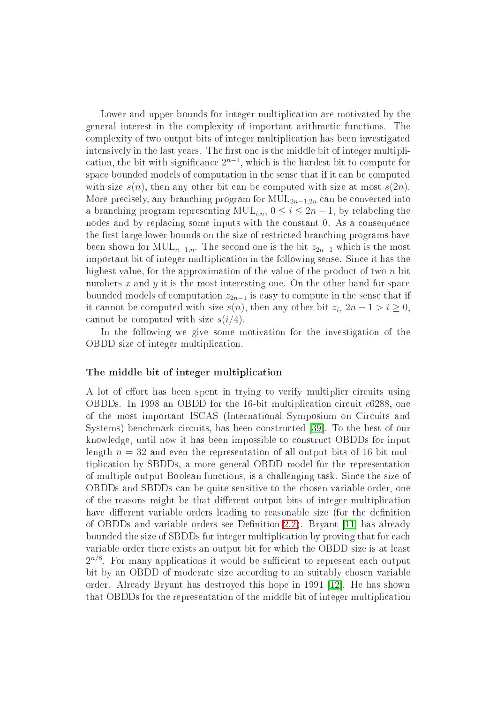Lower and upper bounds for integer multiplication are motivated by the general interest in the complexity of important arithmetic functions. The omplexity of two output bits of integer multipli
ation has been investigated intensively in the last years. The first one is the middle bit of integer multiplication, the bit with significance  $2^{n-1}$ , which is the hardest bit to compute for space bounded models of computation in the sense that if it can be computed with size  $s(n)$ , then any other bit can be computed with size at most  $s(2n)$ . More precisely, any branching program for  $\text{MUL}_{2n-1,2n}$  can be converted into a branching program representing  $\text{MUL}_{i,n}$ ,  $0 \leq i \leq 2n-1$ , by relabeling the nodes and by replacing some inputs with the constant 0. As a consequence the first large lower bounds on the size of restricted branching programs have been shown for  $\text{MUL}_{n-1,n}$ . The second one is the bit  $z_{2n-1}$  which is the most important bit of integer multipli
ation in the following sense. Sin
e it has the highest value, for the approximation of the value of the product of two *n*-bit numbers  $x$  and  $y$  it is the most interesting one. On the other hand for space bounded models of computation  $z_{2n-1}$  is easy to compute in the sense that if it cannot be computed with size  $s(n)$ , then any other bit  $z_i$ ,  $2n - 1 > i \ge 0$ , cannot be computed with size  $s(i/4)$ .

In the following we give some motivation for the investigation of the OBDD size of integer multipli
ation.

#### The middle bit of integer multipli
ation

A lot of effort has been spent in trying to verify multiplier circuits using OBDDs. In 1998 an OBDD for the 16-bit multiplication circuit  $c6288$ , one of the most important ISCAS (International Symposium on Circuits and Systems) benchmark circuits, has been constructed [39]. To the best of our knowledge, until now it has been impossible to onstru
t OBDDs for input length  $n = 32$  and even the representation of all output bits of 16-bit multipli
ation by SBDDs, a more general OBDD model for the representation of multiple output Boolean fun
tions, is a hallenging task. Sin
e the size of OBDDs and SBDDs can be quite sensitive to the chosen variable order, one of the reasons might be that different output bits of integer multiplication have different variable orders leading to reasonable size (for the definition of OBDDs and variable orders see Definition [2.2\)](#page-6-0). Bryant  $[11]$  has already bounded the size of SBDDs for integer multiplication by proving that for each variable order there exists an output bit for whi
h the OBDD size is at least  $2^{n/8}$ . For many applications it would be sufficient to represent each output bit by an OBDD of moderate size according to an suitably chosen variable order. Already Bryant has destroyed this hope in 1991 [12]. He has shown that OBDDs for the representation of the middle bit of integer multipli
ation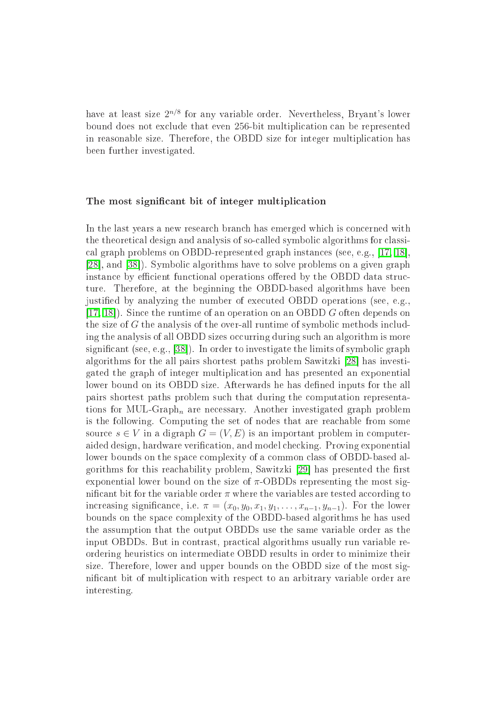have at least size  $2^{n/8}$  for any variable order. Nevertheless, Bryant's lower bound does not ex
lude that even 256-bit multipli
ation an be represented in reasonable size. Therefore, the OBDD size for integer multipli
ation has been further investigated.

#### ant bit of integer multipliers at the integer multipliers where  $\sim$

In the last years a new research branch has emerged which is concerned with the theoreti
al design and analysis of soalled symboli algorithms for lassi- cal graph problems on OBDD-represented graph instances (see, e.g., [\[17,](#page-27-4) 18]. [28], and [38]). Symbolic algorithms have to solve problems on a given graph instance by efficient functional operations offered by the OBDD data structure. Therefore, at the beginning the OBDD-based algorithms have been justified by analyzing the number of executed OBDD operations (see, e.g., [\[17,](#page-27-4) 18]). Since the runtime of an operation on an OBDD  $G$  often depends on the size of  $G$  the analysis of the over-all runtime of symbolic methods including the analysis of all OBDD sizes occurring during such an algorithm is more significant (see, e.g.,  $|38|$ ). In order to investigate the limits of symbolic graph algorithms for the all pairs shortest paths problem Sawitzki  $[28]$  has investigated the graph of integer multipli
ation and has presented an exponential lower bound on its OBDD size. Afterwards he has defined inputs for the all pairs shortest paths problem su
h that during the omputation representations for MUL-Graph<sub>n</sub> are necessary. Another investigated graph problem is the following. Computing the set of nodes that are rea
hable from some source  $s \in V$  in a digraph  $G = (V, E)$  is an important problem in computeraided design, hardware verification, and model checking. Proving exponential lower bounds on the space complexity of a common class of OBDD-based algorithms for this reachability problem, Sawitzki [29] has presented the first exponential lower bound on the size of  $\pi$ -OBDDs representing the most significant bit for the variable order  $\pi$  where the variables are tested according to increasing significance, i.e.  $\pi = (x_0, y_0, x_1, y_1, \ldots, x_{n-1}, y_{n-1})$ . For the lower bounds on the spa
e omplexity of the OBDD-based algorithms he has used the assumption that the output OBDDs use the same variable order as the input OBDDs. But in ontrast, pra
ti
al algorithms usually run variable reordering heuristi
s on intermediate OBDD results in order to minimize their size. Therefore, lower and upper bounds on the OBDD size of the most signi
ant bit of multipli
ation with respe
t to an arbitrary variable order are interesting.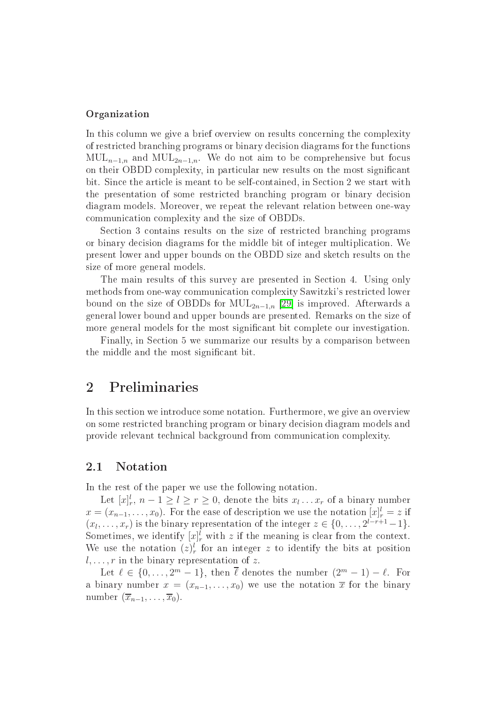#### Organization

In this column we give a brief overview on results concerning the complexity of restri
ted bran
hing programs or binary de
ision diagrams for the fun
tions  $\text{MUL}_{n-1,n}$  and  $\text{MUL}_{2n-1,n}$ . We do not aim to be comprehensive but focus on their OBDD complexity, in particular new results on the most significant bit. Sin
e the arti
le is meant to be selfontained, in Se
tion 2 we start with the presentation of some restri
ted bran
hing program or binary de
ision diagram models. Moreover, we repeat the relevant relation between one-way ommuni
ation omplexity and the size of OBDDs.

Section 3 contains results on the size of restricted branching programs or binary decision diagrams for the middle bit of integer multiplication. We present lower and upper bounds on the OBDD size and sket
h results on the size of more general models.

The main results of this survey are presented in Section 4. Using only methods from one-way ommuni
ation omplexity Sawitzki's restri
ted lower bound on the size of OBDDs for MUL<sub>2n−1,n</sub> [29] is improved. Afterwards a general lower bound and upper bounds are presented. Remarks on the size of more general models for the most significant bit complete our investigation.

Finally, in Section 5 we summarize our results by a comparison between the middle and the most significant bit.

### 2 Preliminaries

In this se
tion we introdu
e some notation. Furthermore, we give an overview on some restri
ted bran
hing program or binary de
ision diagram models and provide relevant te
hni
al ba
kground from ommuni
ation omplexity.

#### 2.1Notation

In the rest of the paper we use the following notation.

Let  $[x]_r^l$ ,  $n-1 \geq l \geq r \geq 0$ , denote the bits  $x_l \ldots x_r$  of a binary number  $x = (x_{n-1}, \ldots, x_0)$ . For the ease of description we use the notation  $[x]_r^l = z$  if  $(x_l, \ldots, x_r)$  is the binary representation of the integer  $z \in \{0, \ldots, 2^{l-r+1}-1\}$ . Sometimes, we identify  $[x]_r^l$  with z if the meaning is clear from the context. We use the notation  $(z)_r^l$  for an integer z to identify the bits at position  $l, \ldots, r$  in the binary representation of z.

Let  $\ell \in \{0, \ldots, 2^m-1\}$ , then  $\overline{\ell}$  denotes the number  $(2^m-1) - \ell$ . For a binary number  $x = (x_{n-1}, \ldots, x_0)$  we use the notation  $\overline{x}$  for the binary number  $(\overline{x}_{n-1}, \ldots, \overline{x}_0)$ .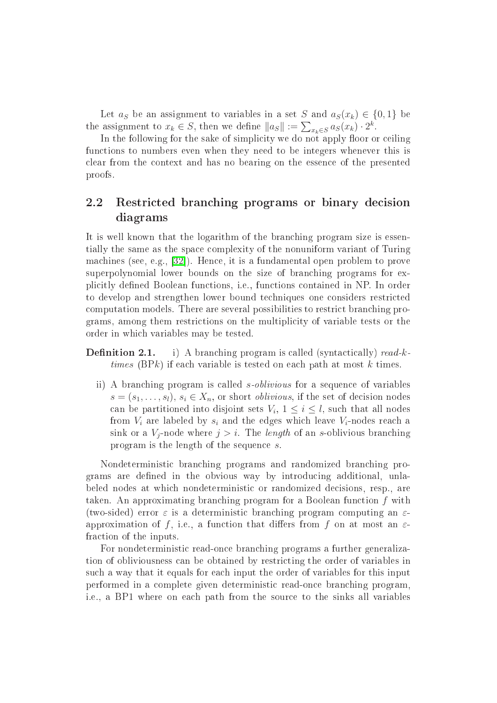Let  $a_S$  be an assignment to variables in a set S and  $a_S(x_k) \in \{0,1\}$  be the assignment to  $x_k \in S$ , then we define  $||a_S|| := \sum_{x_k \in S} a_S(x_k) \cdot 2^k$ .

In the following for the sake of simplicity we do not apply floor or ceiling fun
tions to numbers even when they need to be integers whenever this is clear from the context and has no bearing on the essence of the presented proofs.

#### 2.2Restricted branching programs or binary decision diagrams

It is well known that the logarithm of the branching program size is essentially the same as the spa
e omplexity of the nonuniform variant of Turing machines (see, e.g., [32]). Hence, it is a fundamental open problem to prove superpolynomial lower bounds on the size of bran
hing programs for explicitly defined Boolean functions, i.e., functions contained in NP. In order to develop and strengthen lower bound te
hniques one onsiders restri
ted omputation models. There are several possibilities to restri
t bran
hing programs, among them restri
tions on the multipli
ity of variable tests or the order in whi
h variables may be tested.

- Definition 2.1. i) A branching program is called (syntactically)  $read-k$  $times (BPR)$  if each variable is tested on each path at most k times.
	- ii) A branching program is called *s-oblivious* for a sequence of variables  $s = (s_1, \ldots, s_l), s_i \in X_n$ , or short *oblivious*, if the set of decision nodes can be partitioned into disjoint sets  $V_i$ ,  $1 \leq i \leq l$ , such that all nodes from  $V_i$  are labeled by  $s_i$  and the edges which leave  $V_i$ -nodes reach a sink or a  $V_i$ -node where  $j > i$ . The *length* of an *s*-oblivious branching program is the length of the sequence s.

Nondeterministi bran
hing programs and randomized bran
hing programs are defined in the obvious way by introducing additional, unlabeled nodes at which nondeterministic or randomized decisions, resp., are taken. An approximating bran
hing program for <sup>a</sup> Boolean fun
tion f with (two-sided) error  $\varepsilon$  is a deterministic branching program computing an  $\varepsilon$ approximation of f, i.e., a function that differs from f on at most an  $\varepsilon$ fra
tion of the inputs.

For nondeterministic read-once branching programs a further generalization of obliviousness an be obtained by restri
ting the order of variables in such a way that it equals for each input the order of variables for this input performed in a omplete given deterministi read-on
e bran
hing program, i.e., a BP1 where on ea
h path from the sour
e to the sinks all variables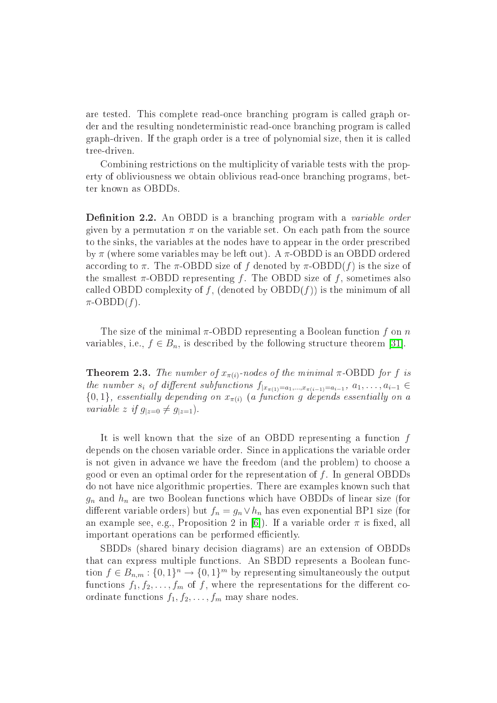are tested. This omplete read-on
e bran
hing program is alled graph order and the resulting nondeterministic read-once branching program is called graph-driven. If the graph order is a tree of polynomial size, then it is alled tree-driven.

<span id="page-6-0"></span>Combining restrictions on the multiplicity of variable tests with the property of obliviousness we obtain oblivious read-on
e bran
hing programs, better known as OBDDs.

Denition 2.2. An OBDD is a bran
hing program with a variable order given by a permutation  $\pi$  on the variable set. On each path from the source to the sinks, the variables at the nodes have to appear in the order pres
ribed by  $\pi$  (where some variables may be left out). A  $\pi$ -OBDD is an OBDD ordered according to  $\pi$ . The  $\pi$ -OBDD size of f denoted by  $\pi$ -OBDD(f) is the size of the smallest  $\pi$ -OBDD representing f. The OBDD size of f, sometimes also called OBDD complexity of f, (denoted by  $\mathrm{OBDD}(f)$ ) is the minimum of all  $\pi$ -OBDD $(f)$ .

The size of the minimal  $\pi$ -OBDD representing a Boolean function f on n variables, i.e.,  $f \in B_n$ , is described by the following structure theorem [31].

**Theorem 2.3.** The number of  $x_{\pi(i)}$ -nodes of the minimal  $\pi$ -OBDD for f is the number  $s_i$  of different subfunctions  $f_{|x_{\pi(1)}=a_1,\dots,x_{\pi(i-1)}=a_{i-1}}, a_1,\dots,a_{i-1} \in$  ${0,1}$ , essentially depending on  $x_{\pi(i)}$  (a function g depends essentially on a variable z if  $g_{|z=0} \neq g_{|z=1}$ .

It is well known that the size of an OBDD representing a function  $f$ depends on the hosen variable order. Sin
e in appli
ations the variable order is not given in advan
e we have the freedom (and the problem) to hoose a good or even an optimal order for the representation of f . In general OBDDs do not have nice algorithmic properties. There are examples known such that  $g_n$  and  $h_n$  are two Boolean functions which have OBDDs of linear size (for different variable orders) but  $f_n = g_n \vee h_n$  has even exponential BP1 size (for an example see, e.g., Proposition 2 in [6]). If a variable order  $\pi$  is fixed, all important operations can be performed efficiently.

SBDDs (shared binary decision diagrams) are an extension of OBDDs that can express multiple functions. An SBDD represents a Boolean function  $f \in B_{n,m}: \{0,1\}^n \to \{0,1\}^m$  by representing simultaneously the output functions  $f_1, f_2, \ldots, f_m$  of f, where the representations for the different coordinate functions  $f_1, f_2, \ldots, f_m$  may share nodes.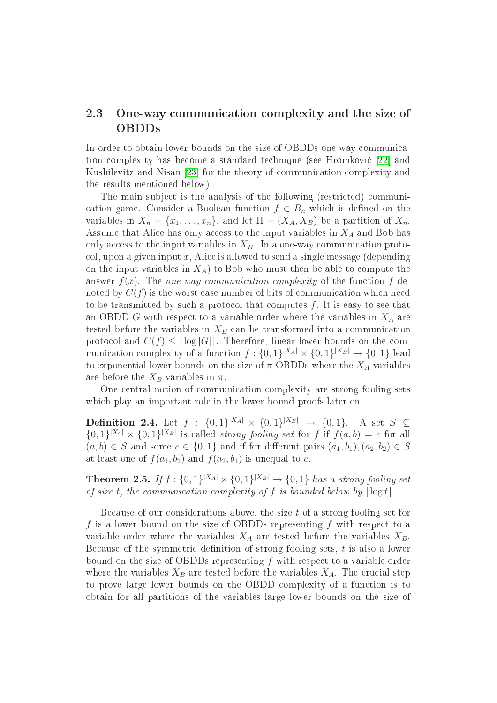#### <span id="page-7-0"></span>2.3 One-way ommuni
ation omplexity and the size of OBDDs

In order to obtain lower bounds on the size of OBDDs one-way communication complexity has become a standard technique (see Hromkovič [22] and Kushilevitz and Nisan [23] for the theory of communication complexity and the results mentioned below).

The main subject is the analysis of the following (restricted) communication game. Consider a Boolean function  $f \in B_n$  which is defined on the variables in  $X_n = \{x_1, \ldots, x_n\}$ , and let  $\Pi = (X_A, X_B)$  be a partition of  $X_n$ . Assume that Alice has only access to the input variables in  $X_A$  and Bob has only access to the input variables in  $X_B$ . In a one-way communication protocol, upon a given input  $x$ , Alice is allowed to send a single message (depending on the input variables in  $X_A$  to Bob who must then be able to compute the answer  $f(x)$ . The one-way communication complexity of the function f denoted by  $C(f)$  is the worst case number of bits of communication which need to be transmitted by such a protocol that computes  $f$ . It is easy to see that an OBDD G with respect to a variable order where the variables in  $X_A$  are tested before the variables in  $X_B$  can be transformed into a communication protocol and  $C(f) \leq \lceil \log |G| \rceil$ . Therefore, linear lower bounds on the communication complexity of a function  $f: \{0,1\}^{|X_A|} \times \{0,1\}^{|X_B|} \rightarrow \{0,1\}$  lead to exponential lower bounds on the size of  $\pi$ -OBDDs where the  $X_A$ -variables are before the  $X_B$ -variables in  $\pi$ .

One entral notion of ommuni
ation omplexity are strong fooling sets which play an important role in the lower bound proofs later on.

**Definition 2.4.** Let  $f : \{0,1\}^{|X_A|} \times \{0,1\}^{|X_B|} \rightarrow \{0,1\}$ . A set  $S \subseteq$  $\{0,1\}^{|X_a|} \times \{0,1\}^{|X_B|}$  is called *strong fooling set* for f if  $f(a,b) = c$  for all  $(a, b) \in S$  and some  $c \in \{0, 1\}$  and if for different pairs  $(a_1, b_1), (a_2, b_2) \in S$ at least one of  $f(a_1, b_2)$  and  $f(a_2, b_1)$  is unequal to c.

**Theorem 2.5.** If  $f : \{0,1\}^{|X_A|} \times \{0,1\}^{|X_B|} \rightarrow \{0,1\}$  has a strong fooling set of size t, the communication complexity of f is bounded below by  $\lceil \log t \rceil$ .

Because of our considerations above, the size t of a strong fooling set for f is a lower bound on the size of OBDDs representing f with respect to a variable order where the variables  $X_A$  are tested before the variables  $X_B$ . Because of the symmetric definition of strong fooling sets,  $t$  is also a lower bound on the size of OBDDs representing  $f$  with respect to a variable order where the variables  $X_B$  are tested before the variables  $X_A$ . The crucial step to prove large lower bounds on the OBDD omplexity of a fun
tion is to obtain for all partitions of the variables large lower bounds on the size of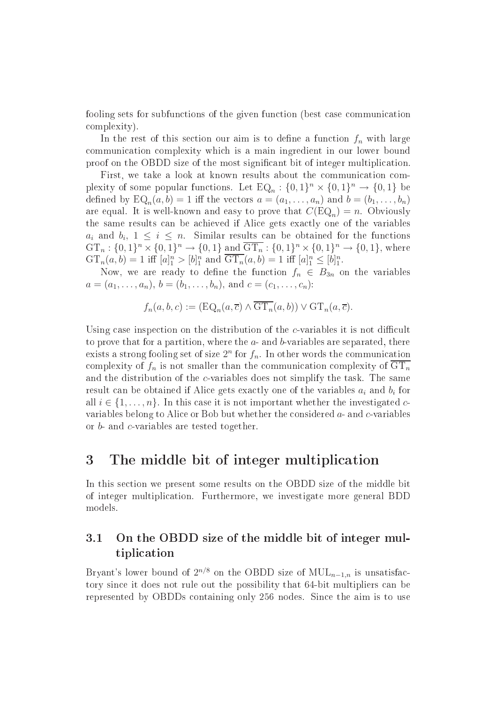fooling sets for subfunctions of the given function (best case communication omplexity).

In the rest of this section our aim is to define a function  $f_n$  with large ommuni
ation omplexity whi
h is a main ingredient in our lower bound proof on the OBDD size of the most significant bit of integer multiplication.

First, we take a look at known results about the communication complexity of some popular functions. Let  $EQ_n: \{0,1\}^n \times \{0,1\}^n \rightarrow \{0,1\}$  be defined by  $\mathrm{EQ}_n(a,b) = 1$  iff the vectors  $a = (a_1, \ldots, a_n)$  and  $b = (b_1, \ldots, b_n)$ are equal. It is well-known and easy to prove that  $C(\mathrm{EQ}_n)=n$ . Obviously the same results an be a
hieved if Ali
e gets exa
tly one of the variables  $a_i$  and  $b_i$ ,  $1 \leq i \leq n$ . Similar results can be obtained for the functions  $GT_n: \{0,1\}^n \times \{0,1\}^n \to \{0,1\}$  and  $\overline{GT_n}: \{0,1\}^n \times \{0,1\}^n \to \{0,1\}$ , where  $\mathrm{GT}_n(a, b) = 1$  iff  $[a]_1^n > [b]_1^n$  and  $\overline{\mathrm{GT}_n}(a, b) = 1$  iff  $[a]_1^n \leq [b]_1^n$ .

Now, we are ready to define the function  $f_n \in B_{3n}$  on the variables  $a = (a_1, \ldots, a_n), b = (b_1, \ldots, b_n),$  and  $c = (c_1, \ldots, c_n)$ :

$$
f_n(a, b, c) := (\mathbf{EQ}_n(a, \overline{c}) \wedge \overline{\mathbf{GT}_n}(a, b)) \vee \mathbf{GT}_n(a, \overline{c}).
$$

Using case inspection on the distribution of the c-variables it is not difficult to prove that for a partition, where the  $a$ - and  $b$ -variables are separated, there exists a strong fooling set of size  $2^n$  for  $f_n$ . In other words the communication complexity of  $f_n$  is not smaller than the communication complexity of  $\overline{GT_n}$ and the distribution of the c-variables does not simplify the task. The same result can be obtained if Alice gets exactly one of the variables  $a_i$  and  $b_i$  for all  $i \in \{1, \ldots, n\}$ . In this case it is not important whether the investigated cvariables belong to Ali
e or Bob but whether the onsidered a- and c-variables or b- and c-variables are tested together.

### 3 The middle bit of integer multipli
ation

In this section we present some results on the OBDD size of the middle bit of integer multipli
ation. Furthermore, we investigate more general BDD models.

#### 3.1 On the OBDD size of the middle bit of integer multipli
ation

Bryant's lower bound of  $2^{n/8}$  on the OBDD size of  $\text{MUL}_{n-1,n}$  is unsatisfactory sin
e it does not rule out the possibility that 64-bit multipliers an be represented by OBDDs ontaining only 256 nodes. Sin
e the aim is to use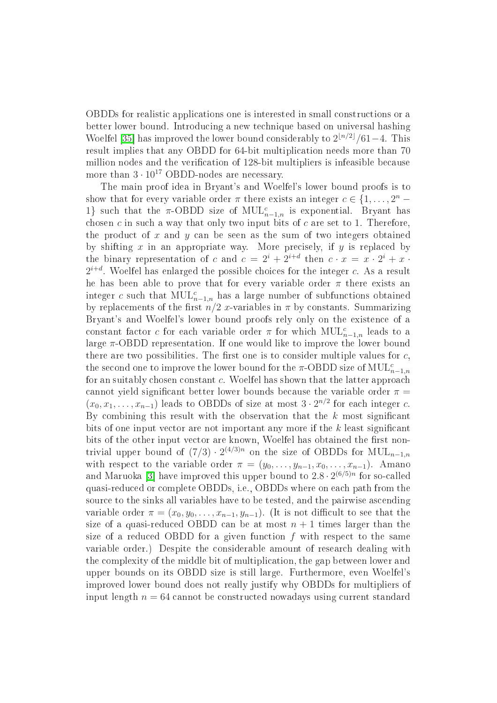OBDDs for realisti appli
ations one is interested in small onstru
tions or a better lower bound. Introdu
ing a new te
hnique based on universal hashing Woelfel [35] has improved the lower bound considerably to  $2^{\lfloor n/2 \rfloor}/61-4$ . This result implies that any OBDD for 64-bit multiplication needs more than 70 million nodes and the verification of 128-bit multipliers is infeasible because more than  $3 \cdot 10^{17}$  OBDD-nodes are necessary.

The main proof idea in Bryant's and Woelfel's lower bound proofs is to show that for every variable order  $\pi$  there exists an integer  $c \in \{1, \ldots, 2^n - \}$ 1} such that the  $\pi$ -OBDD size of MUL<sub>n-1,n</sub> is exponential. Bryant has chosen  $c$  in such a way that only two input bits of  $c$  are set to 1. Therefore, the product of x and  $y$  can be seen as the sum of two integers obtained by shifting  $x$  in an appropriate way. More precisely, if  $y$  is replaced by the binary representation of c and  $c = 2^{i} + 2^{i+d}$  then  $c \cdot x = x \cdot 2^{i} + x \cdot$  $2^{i+d}$ . Woelfel has enlarged the possible choices for the integer c. As a result he has been able to prove that for every variable order  $\pi$  there exists an integer c such that  $\text{MUL}_{n-1,n}^c$  has a large number of subfunctions obtained by replacements of the first  $n/2$  x-variables in  $\pi$  by constants. Summarizing Bryant's and Woelfel's lower bound proofs rely only on the existen
e of a constant factor c for each variable order  $\pi$  for which  $\text{MUL}_{n-1,n}^c$  leads to a large  $\pi$ -OBDD representation. If one would like to improve the lower bound there are two possibilities. The first one is to consider multiple values for  $c$ , the second one to improve the lower bound for the  $\pi\text{-OBDD}\text{ size of } \text{MUL}_{n-1,n}^c$ for an suitably chosen constant c. Woelfel has shown that the latter approach cannot yield significant better lower bounds because the variable order  $\pi =$  $(x_0, x_1, \ldots, x_{n-1})$  leads to OBDDs of size at most  $3 \cdot 2^{n/2}$  for each integer c. By combining this result with the observation that the  $k$  most significant bits of one input vector are not important any more if the  $k$  least significant bits of the other input vector are known, Woelfel has obtained the first nontrivial upper bound of  $(7/3) \cdot 2^{(4/3)n}$  on the size of OBDDs for  $\text{MUL}_{n-1,n}$ with respect to the variable order  $\pi = (y_0, \ldots, y_{n-1}, x_0, \ldots, x_{n-1})$ . Amano and Maruoka [3] have improved this upper bound to  $2.8 \cdot 2^{(6/5)n}$  for so-called quasi-reduced or complete OBDDs, i.e., OBDDs where on each path from the sour
e to the sinks all variables have to be tested, and the pairwise as
ending variable order  $\pi = (x_0, y_0, \ldots, x_{n-1}, y_{n-1})$ . (It is not difficult to see that the size of a quasi-reduced OBDD can be at most  $n + 1$  times larger than the size of a reduced OBDD for a given function  $f$  with respect to the same variable order.) Despite the onsiderable amount of resear
h dealing with the omplexity of the middle bit of multipli
ation, the gap between lower and upper bounds on its OBDD size is still large. Furthermore, even Woelfel's improved lower bound does not really justify why OBDDs for multipliers of input length  $n = 64$  cannot be constructed nowadays using current standard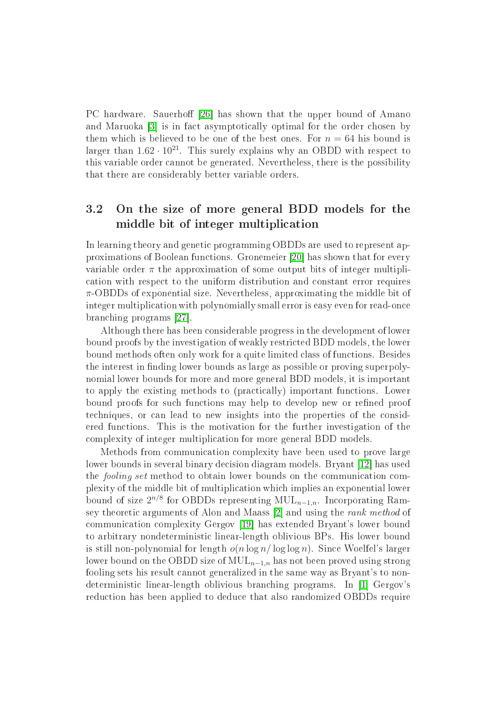PC hardware. Sauerhoff [26] has shown that the upper bound of Amano and Maruoka  $\lbrack 3 \rbrack$  is in fact asymptotically optimal for the order chosen by them which is believed to be one of the best ones. For  $n = 64$  his bound is larger than  $1.62 \cdot 10^{21}$ . This surely explains why an OBDD with respect to this variable order annot be generated. Nevertheless, there is the possibility that there are onsiderably better variable orders.

#### 3.2 On the size of more general BDD models for the middle bit of integral multipliers in the state

In learning theory and genetic programming OBDDs are used to represent approximations of Boolean functions. Gronemeier [20] has shown that for every variable order  $\pi$  the approximation of some output bits of integer multipliation with respe
t to the uniform distribution and onstant error requires  $\pi$ -OBDDs of exponential size. Nevertheless, approximating the middle bit of integer multiplication with polynomially small error is easy even for read-once branching programs [27].

Although there has been onsiderable progress in the development of lower bound proofs by the investigation of weakly restri
ted BDD models, the lower bound methods often only work for a quite limited lass of fun
tions. Besides the interest in finding lower bounds as large as possible or proving superpolynomial lower bounds for more and more general BDD models, it is important to apply the existing methods to (practically) important functions. Lower bound proofs for such functions may help to develop new or refined proof techniques, or can lead to new insights into the properties of the considered fun
tions. This is the motivation for the further investigation of the omplexity of integer multipli
ation for more general BDD models.

Methods from ommuni
ation omplexity have been used to prove large lower bounds in several binary decision diagram models. Bryant [12] has used the *fooling set* method to obtain lower bounds on the communication complexity of the middle bit of multipli
ation whi
h implies an exponential lower bound of size  $2^{n/8}$  for OBDDs representing  $\text{MUL}_{n-1,n}$ . Incorporating Ramsey theoretic arguments of Alon and Maass [2] and using the *rank method* of communication complexity Gergov [19] has extended Bryant's lower bound to arbitrary nondeterministi linear-length oblivious BPs. His lower bound is still non-polynomial for length  $o(n \log n / \log \log n)$ . Since Woelfel's larger lower bound on the OBDD size of  $\text{MUL}_{n-1,n}$  has not been proved using strong fooling sets his result annot generalized in the same way as Bryant's to nondeterministic linear-length oblivious branching programs. In [1] Gergov's redu
tion has been applied to dedu
e that also randomized OBDDs require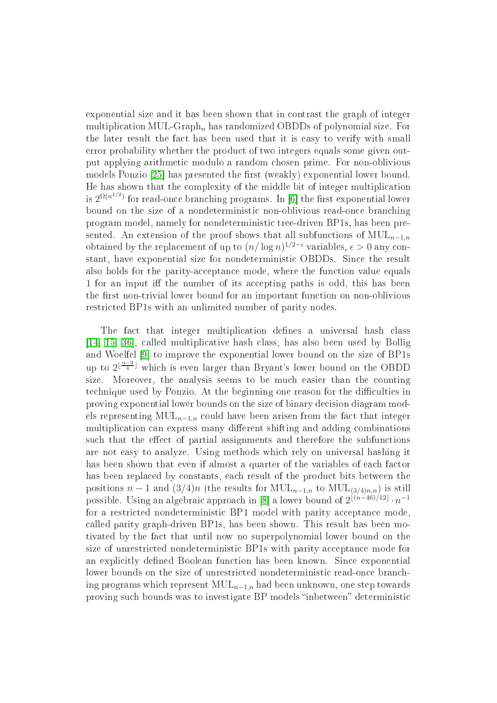exponential size and it has been shown that in ontrast the graph of integer multiplication MUL-Graph<sub>n</sub> has randomized OBDDs of polynomial size. For the later result the fact has been used that it is easy to verify with small error probability whether the product of two integers equals some given output applying arithmeti modulo a random hosen prime. For non-oblivious models Ponzio [25] has presented the first (weakly) exponential lower bound. He has shown that the omplexity of the middle bit of integer multipli
ation is  $2^{\Omega(n^{1/2})}$  for read-once branching programs. In [6] the first exponential lower bound on the size of a nondeterministic non-oblivious read-once branching program model, namely for nondeterministic tree-driven BP1s, has been presented. An extension of the proof shows that all subfunctions of  $\text{MUL}_{n-1,n}$ obtained by the replacement of up to  $(n/\log n)^{1/2-\epsilon}$  variables,  $\epsilon > 0$  any constant, have exponential size for nondeterministi OBDDs. Sin
e the result also holds for the parity-acceptance mode, where the function value equals 1 for an input iff the number of its accepting paths is odd, this has been the first non-trivial lower bound for an important function on non-oblivious restri
ted BP1s with an unlimited number of parity nodes.

The fact that integer multiplication defines a universal hash class [\[14,](#page-27-8) [15,](#page-27-9) 36], called multiplicative hash class, has also been used by Bollig and Woelfel  $[9]$  to improve the exponential lower bound on the size of BP1s up to  $2^{\lfloor \frac{n-9}{4} \rfloor}$  which is even larger than Bryant's lower bound on the OBDD size. Moreover, the analysis seems to be much easier than the counting technique used by Ponzio. At the beginning one reason for the difficulties in proving exponential lower bounds on the size of binary decision diagram models representing  $\text{MUL}_{n-1,n}$  could have been arisen from the fact that integer multiplication can express many different shifting and adding combinations such that the effect of partial assignments and therefore the subfunctions are not easy to analyze. Using methods whi
h rely on universal hashing it has been shown that even if almost a quarter of the variables of each factor has been replaced by constants, each result of the product bits between the positions  $n-1$  and  $\left(\frac{3}{4}\right)n$  (the results for  $\text{MUL}_{n-1,n}$  to  $\text{MUL}_{(3/4)n,n}$ ) is still possible. Using an algebraic approach in [8] a lower bound of  $2^{\lfloor (n-46)/12 \rfloor} \cdot n^{-1}$ for a restricted nondeterministic BP1 model with parity acceptance mode, alled parity graph-driven BP1s, has been shown. This result has been motivated by the fa
t that until now no superpolynomial lower bound on the size of unrestricted nondeterministic BP1s with parity acceptance mode for an explicitly defined Boolean function has been known. Since exponential lower bounds on the size of unrestricted nondeterministic read-once branching programs which represent  $\text{MUL}_{n-1,n}$  had been unknown, one step towards proving such bounds was to investigate BP models "inbetween" deterministic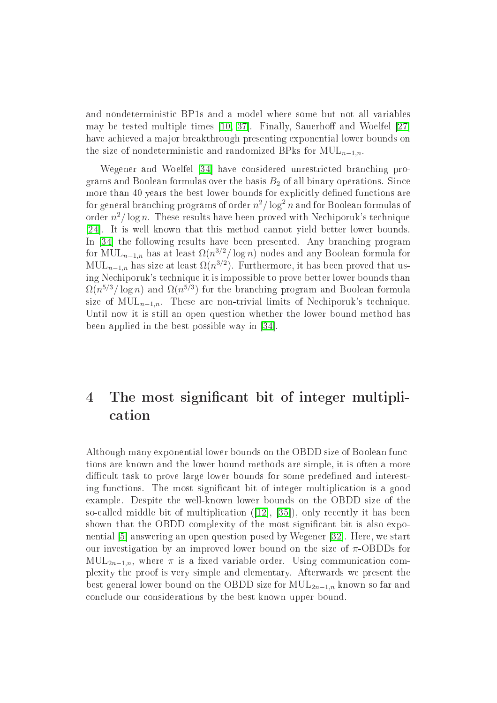and nondeterministi BP1s and a model where some but not all variables may be tested multiple times  $[10, 37]$  $[10, 37]$ . Finally, Sauerhoff and Woelfel  $[27]$ have a
hieved a major breakthrough presenting exponential lower bounds on the size of nondeterministic and randomized BPks for  $\text{MUL}_{n-1,n}$ .

Wegener and Woelfel [34] have considered unrestricted branching programs and Boolean formulas over the basis  $B_2$  of all binary operations. Since more than 40 years the best lower bounds for explicitly defined functions are for general branching programs of order  $n^2/\log^2 n$  and for Boolean formulas of order  $n^2/\log n$ . These results have been proved with Nechiporuk's technique [24]. It is well known that this method cannot yield better lower bounds. In [34] the following results have been presented. Any branching program for  $\text{MUL}_{n-1,n}$  has at least  $\Omega(n^{3/2}/\log n)$  nodes and any Boolean formula for  $\text{MUL}_{n-1,n}$  has size at least  $\Omega(n^{3/2})$ . Furthermore, it has been proved that using Ne
hiporuk's te
hnique it is impossible to prove better lower bounds than  $\Omega(n^{5/3}/\log n)$  and  $\Omega(n^{5/3})$  for the branching program and Boolean formula size of  $\text{MUL}_{n-1,n}$ . These are non-trivial limits of Nechiporuk's technique. Until now it is still an open question whether the lower bound method has been applied in the best possible way in  $[34]$ .

### $\overline{4}$ The most significant bit of integer multipliation

Although many exponential lower bounds on the OBDD size of Boolean fun
 tions are known and the lower bound methods are simple, it is often a more difficult task to prove large lower bounds for some predefined and interesting functions. The most significant bit of integer multiplication is a good example. Despite the well-known lower bounds on the OBDD size of the so-called middle bit of multiplication  $(12, 35)$ , only recently it has been shown that the OBDD complexity of the most significant bit is also exponential  $[5]$  answering an open question posed by Wegener  $[32]$ . Here, we start our investigation by an improved lower bound on the size of  $\pi$ -OBDDs for  $\text{MUL}_{2n-1,n}$ , where  $\pi$  is a fixed variable order. Using communication complexity the proof is very simple and elementary. Afterwards we present the best general lower bound on the OBDD size for  $\text{MUL}_{2n-1,n}$  known so far and on
lude our onsiderations by the best known upper bound.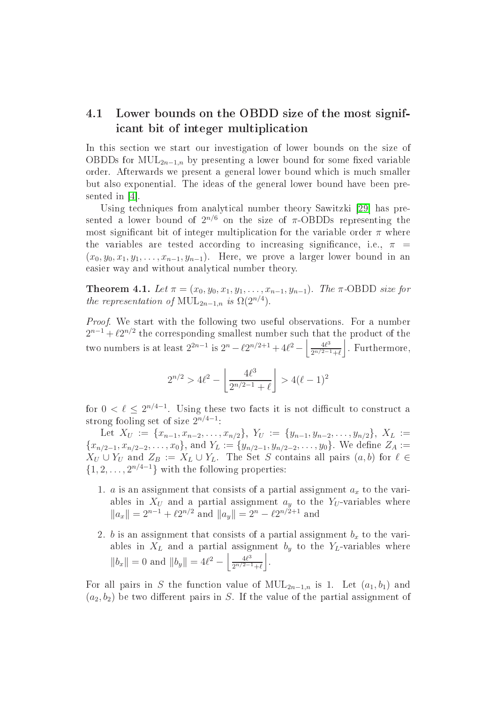#### 4.1 Lower bounds on the OBDD size of the most signifin bit of integer multipliers and the contract of integer multipliers and the contract of integer multipliers

In this section we start our investigation of lower bounds on the size of OBDDs for MUL<sub>2n−1,n</sub> by presenting a lower bound for some fixed variable order. Afterwards we present a general lower bound whi
h is mu
h smaller but also exponential. The ideas of the general lower bound have been presented in  $[4]$ .

Using techniques from analytical number theory Sawitzki [29] has presented a lower bound of  $2^{n/6}$  on the size of  $\pi$ -OBDDs representing the most significant bit of integer multiplication for the variable order  $\pi$  where the variables are tested according to increasing significance, i.e.,  $\pi$  =  $(x_0, y_0, x_1, y_1, \ldots, x_{n-1}, y_{n-1})$ . Here, we prove a larger lower bound in an easier way and without analyti
al number theory.

**Theorem 4.1.** Let  $\pi = (x_0, y_0, x_1, y_1, \ldots, x_{n-1}, y_{n-1})$ . The  $\pi$ -OBDD size for the representation of  $\text{MUL}_{2n-1,n}$  is  $\Omega(2^{n/4})$ .

Proof. We start with the following two useful observations. For a number  $2^{n-1} + \ell 2^{n/2}$  the corresponding smallest number such that the product of the two numbers is at least  $2^{2n-1}$  is  $2^n - \ell 2^{n/2+1} + 4\ell^2 - \frac{4\ell^3}{2^{n/2-1}}$  $2^{n/2-1}+\ell$ |. Furthermore,

$$
2^{n/2} > 4\ell^2 - \left\lfloor \frac{4\ell^3}{2^{n/2 - 1} + \ell} \right\rfloor > 4(\ell - 1)^2
$$

for  $0 < \ell \leq 2^{n/4-1}$ . Using these two facts it is not difficult to construct a strong fooling set of size  $2^{n/4-1}$ :

Let  $X_U := \{x_{n-1}, x_{n-2}, \ldots, x_{n/2}\}, Y_U := \{y_{n-1}, y_{n-2}, \ldots, y_{n/2}\}, X_L :=$  ${x_{n/2-1}, x_{n/2-2}, \ldots, x_0},$  and  $Y_L := {y_{n/2-1}, y_{n/2-2}, \ldots, y_0}.$  We define  $Z_A :=$  $X_U \cup Y_U$  and  $Z_B := X_L \cup Y_L$ . The Set S contains all pairs  $(a, b)$  for  $\ell \in$  $\{1, 2, \ldots, 2^{n/4-1}\}\$  with the following properties:

- 1. *a* is an assignment that consists of a partial assignment  $a_x$  to the variables in  $X_U$  and a partial assignment  $a_y$  to the  $Y_U$ -variables where  $||a_x|| = 2^{n-1} + \ell 2^{n/2}$  and  $||a_y|| = 2^n - \ell 2^{n/2+1}$  and
- 2. b is an assignment that consists of a partial assignment  $b_x$  to the variables in  $X_L$  and a partial assignment  $b_y$  to the Y<sub>L</sub>-variables where  $||b_x|| = 0$  and  $||b_y|| = 4\ell^2 - \left|\frac{4\ell^3}{2^{n/2-1}}\right|$  $2^{n/2-1}+\ell$ k .

For all pairs in S the function value of  $\text{MUL}_{2n-1,n}$  is 1. Let  $(a_1, b_1)$  and  $(a_2, b_2)$  be two different pairs in S. If the value of the partial assignment of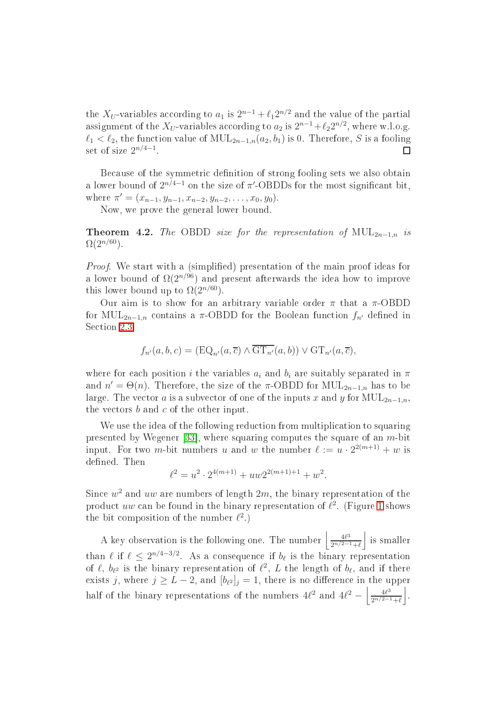the  $X_U$ -variables according to  $a_1$  is  $2^{n-1} + \ell_1 2^{n/2}$  and the value of the partial assignment of the  $X_U$ -variables according to  $a_2$  is  $2^{n-1} + \ell_2 2^{n/2}$ , where w.l.o.g.  $\ell_1 < \ell_2$ , the function value of  $\text{MUL}_{2n-1,n}(a_2, b_1)$  is 0. Therefore, S is a fooling set of size  $2^{n/4-1}$ .  $\Box$ 

Because of the symmetric definition of strong fooling sets we also obtain a lower bound of  $2^{n/4-1}$  on the size of  $\pi'$ -OBDDs for the most significant bit, where  $\pi' = (x_{n-1}, y_{n-1}, x_{n-2}, y_{n-2}, \dots, x_0, y_0)$ .

Now, we prove the general lower bound.

**Theorem 4.2.** The OBDD size for the representation of MUL<sub>2n-1,n</sub> is  $\Omega(2^{n/60})$ .

Proof. We start with a (simplied) presentation of the main proof ideas for a lower bound of  $\Omega(2^{n/96})$  and present afterwards the idea how to improve this lower bound up to  $\Omega(2^{n/60})$ .

Our aim is to show for an arbitrary variable order  $\pi$  that a  $\pi$ -OBDD for MUL<sub>2n-1,n</sub> contains a  $\pi$ -OBDD for the Boolean function  $f_{n'}$  defined in Section [2.3:](#page-7-0)

$$
f_{n'}(a,b,c) = (\mathcal{EQ}_{n'}(a,\overline{c}) \wedge \overline{\mathrm{GT}_{n'}}(a,b)) \vee \mathrm{GT}_{n'}(a,\overline{c}),
$$

where for each position *i* the variables  $a_i$  and  $b_i$  are suitably separated in  $\pi$ and  $n' = \Theta(n)$ . Therefore, the size of the  $\pi$ -OBDD for  $\text{MUL}_{2n-1,n}$  has to be large. The vector a is a subvector of one of the inputs x and y for  $\text{MUL}_{2n-1,n}$ . the vectors b and c of the other input.

We use the idea of the following reduction from multiplication to squaring presented by Wegener [33], where squaring computes the square of an  $m$ -bit input. For two *m*-bit numbers u and w the number  $\ell := u \cdot 2^{2(m+1)} + w$  is defined. Then

$$
\ell^2 = u^2 \cdot 2^{4(m+1)} + uw2^{2(m+1)+1} + w^2.
$$

Since  $w^2$  and uw are numbers of length  $2m$ , the binary representation of the product uw can be found in the binary representation of  $\ell^2$ . (Figure [1](#page-15-0) shows the bit composition of the number  $\ell^2$ .)

A key observation is the following one. The number  $\frac{4l^3}{2l^2}$  $2^{n/2-1}+\ell$ | is smaller than  $\ell$  if  $\ell \leq 2^{n/4-3/2}$ . As a consequence if  $b_{\ell}$  is the binary representation of  $\ell$ ,  $b_{\ell^2}$  is the binary representation of  $\ell^2$ , L the length of  $b_{\ell}$ , and if there exists j, where  $j \geq L-2$ , and  $[b_{\ell^2}]_j = 1$ , there is no difference in the upper half of the binary representations of the numbers  $4\ell^2$  and  $4\ell^2 - \frac{4\ell^3}{2n/2-1}$  $2^{n/2-1}+\ell$ k .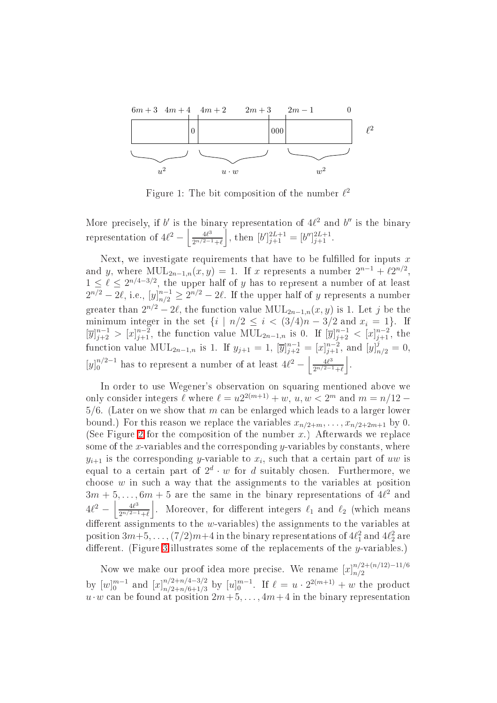

<span id="page-15-0"></span>Figure 1: The bit composition of the number  $\ell^2$ 

More precisely, if b' is the binary representation of  $4\ell^2$  and b'' is the binary representation of  $4\ell^2 - \left\lfloor \frac{4\ell^3}{2n/2-1} \right\rfloor$  $2^{n/2-1}+\ell$ , then  $[b']_{j+1}^{2L+1} = [b'']_{j+1}^{2L+1}$  $j+1$  .

Next, we investigate requirements that have to be fulfilled for inputs  $x$ and y, where  $\text{MUL}_{2n-1,n}(x,y) = 1$ . If x represents a number  $2^{n-1} + \ell 2^{n/2}$ ,  $1 \leq \ell \leq 2^{n/4-3/2}$ , the upper half of y has to represent a number of at least  $2^{n/2} - 2\ell$ , i.e.,  $[y]_{n/2}^{n-1} \ge 2^{n/2} - 2\ell$ . If the upper half of y represents a number greater than  $2^{n/2} - 2\ell$ , the function value  $\text{MUL}_{2n-1,n}(x, y)$  is 1. Let j be the minimum integer in the set  $\{i \mid n/2 \leq i \leq (3/4)n - 3/2 \text{ and } x_i = 1\}.$  If  $[\overline{y}]_{j+2}^{n-1} > [x]_{j+1}^{n-2}$ , the function value  $\text{MUL}_{2n-1,n}$  is 0. If  $[\overline{y}]_{j+2}^{n-1} < [x]_{j+1}^{n-2}$  $_{j+1}$ ,  $_{\rm circ}$ function value  $\text{MUL}_{2n-1,n}$  is 1. If  $y_{j+1} = 1$ ,  $[\overline{y}]_{j+2}^{n-1} = [x]_{j+1}^{n-2}$ , and  $[y]_{n/2}^j = 0$ ,  $[y]_0^{n/2-1}$  has to represent a number of at least  $4\ell^2 - \left(\frac{4\ell^3}{2^{n/2-1}}\right)$  $2^{n/2-1}+\ell$ k .

In order to use Wegener's observation on squaring mentioned above we only consider integers  $\ell$  where  $\ell = u2^{2(m+1)} + w$ ,  $u, w < 2^m$  and  $m = n/12 - w$  $5/6$ . (Later on we show that m can be enlarged which leads to a larger lower bound.) For this reason we replace the variables  $x_{n/2+m}, \ldots, x_{n/2+2m+1}$  by 0. (See Figure [2](#page-16-0) for the composition of the number  $x$ .) Afterwards we replace some of the x-variables and the corresponding  $y$ -variables by constants, where  $y_{i+1}$  is the corresponding y-variable to  $x_i$ , such that a certain part of uw is equal to a certain part of  $2^d \cdot w$  for  $d$  suitably chosen. Furthermore, we choose  $w$  in such a way that the assignments to the variables at position  $3m + 5, \ldots, 6m + 5$  are the same in the binary representations of  $4\ell^2$  and  $4\ell^2 - \left| \frac{4\ell^3}{2n/2 - 1} \right|$  $2^{n/2-1}+\ell$ . Moreover, for different integers  $\ell_1$  and  $\ell_2$  (which means different assignments to the w-variables) the assignments to the variables at position 3 $m{+}5,\ldots,(7/2)m{+}4$  in the binary representations of  $4\ell_1^2$  and  $4\ell_2^2$  are different. (Figure [3](#page-16-1) illustrates some of the replacements of the  $y$ -variables.)

Now we make our proof idea more precise. We rename  $[x]_{n/2}^{n/2+(n/12)-11/6}$  $n/2$ by  $[w]_0^{m-1}$  and  $[x]_{n/2+n/6+1/3}^{n/2+n/4-3/2}$  $\frac{n/2+n/4-3/2}{n/2+n/6+1/3}$  by  $[u]_0^{m-1}$ . If  $\ell = u \cdot 2^{2(m+1)} + w$  the product  $u \cdot w$  can be found at position  $2m+5, \ldots, 4m+4$  in the binary representation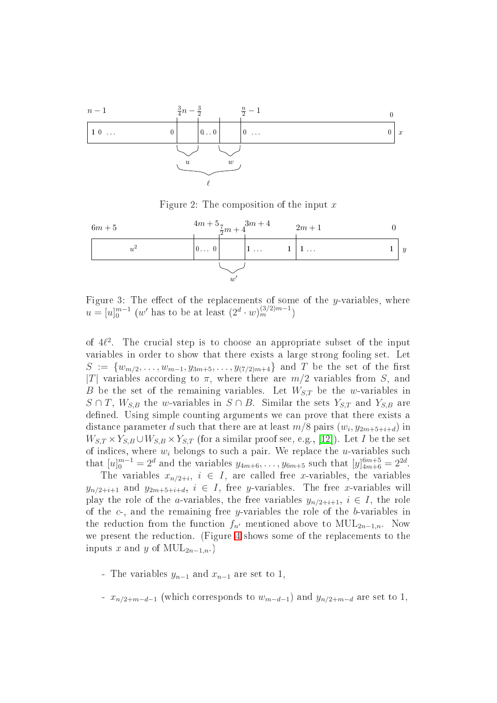

<span id="page-16-0"></span>Figure 2: The composition of the input  $x$ 



<span id="page-16-1"></span>Figure 3: The effect of the replacements of some of the y-variables, where  $u = [u]_0^{m-1}$  (w' has to be at least  $(2^d \cdot w)_m^{(3/2)m-1})$ 

of  $4\ell^2$ . The crucial step is to choose an appropriate subset of the input variables in order to show that there exists a large strong fooling set. Let  $S := \{w_{m/2}, \ldots, w_{m-1}, y_{3m+5}, \ldots, y_{(7/2)m+4}\}\$ and T be the set of the first |T| variables according to  $\pi$ , where there are  $m/2$  variables from S, and B be the set of the remaining variables. Let  $W_{S,T}$  be the w-variables in  $S \cap T$ ,  $W_{S,B}$  the w-variables in  $S \cap B$ . Similar the sets  $Y_{S,T}$  and  $Y_{S,B}$  are defined. Using simple counting arguments we can prove that there exists a distance parameter  $d$  such that there are at least  $m/8$  pairs  $(w_i,y_{2m+5+i+d})$  in  $W_{S,T} \times Y_{S,B} \cup W_{S,B} \times Y_{S,T}$  (for a similar proof see, e.g., [12]). Let I be the set of indices, where  $w_i$  belongs to such a pair. We replace the *u*-variables such that  $[u]_0^{m-1} = 2^d$  and the variables  $y_{4m+6}, \ldots, y_{6m+5}$  such that  $[y]_{4m+6}^{6m+5} = 2^{2d}$ .

The variables  $x_{n/2+i}$ ,  $i \in I$ , are called free x-variables, the variables  $y_{n/2+i+1}$  and  $y_{2m+5+i+d}$ ,  $i \in I$ , free y-variables. The free x-variables will play the role of the a-variables, the free variables  $y_{n/2+i+1}$ ,  $i \in I$ , the role of the  $c$ -, and the remaining free y-variables the role of the b-variables in the reduction from the function  $f_{n'}$  mentioned above to  $\text{MUL}_{2n-1,n}$ . Now we present the reduction. (Figure [4](#page-18-0) shows some of the replacements to the inputs x and y of  $\text{MUL}_{2n-1,n}$ .)

- The variables  $y_{n-1}$  and  $x_{n-1}$  are set to 1,
- $x_{n/2+m-d-1}$  (which corresponds to  $w_{m-d-1}$ ) and  $y_{n/2+m-d}$  are set to 1,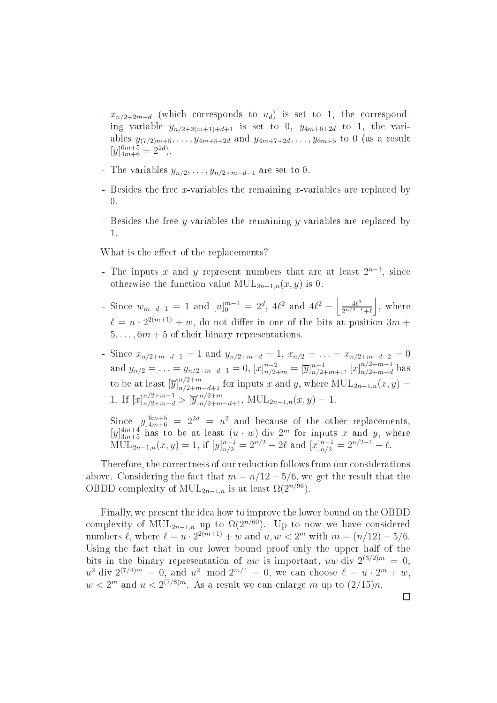- $x_{n/2+2m+d}$  (which corresponds to  $u_d$ ) is set to 1, the corresponding variable  $y_{n/2+2(m+1)+d+1}$  is set to 0,  $y_{4m+6+2d}$  to 1, the variables  $y_{(7/2)m+5}, \ldots, y_{4m+5+2d}$  and  $y_{4m+7+2d}, \ldots, y_{6m+5}$  to 0 (as a result  $[y]_{4m+6}^{6m+5} = 2^{2d}$ .
- The variables  $y_{n/2}, \ldots, y_{n/2+m-d-1}$  are set to 0.
- Besides the free x-variables the remaining x-variables are replaced by  $\theta$ .
- Besides the free *y*-variables the remaining *y*-variables are replaced by 1.

What is the effect of the replacements?

- The inputs x and y represent numbers that are at least  $2^{n-1}$ , since otherwise the function value  $\text{MUL}_{2n-1,n}(x, y)$  is 0.
- Since  $w_{m-d-1} = 1$  and  $[u]_0^{m-1} = 2^d$ ,  $4\ell^2$  and  $4\ell^2 \left(\frac{4\ell^3}{2^{n/2-1}}\right)$  $2^{n/2-1}+\ell$  $\vert$ , where  $\ell = u \cdot 2^{2(m+1)} + w$ , do not differ in one of the bits at position  $3m +$  $5, \ldots, 6m + 5$  of their binary representations.
- Since  $x_{n/2+m-d-1} = 1$  and  $y_{n/2+m-d} = 1$ ,  $x_{n/2} = \ldots = x_{n/2+m-d-2} = 0$ and  $y_{n/2} = \ldots = y_{n/2+m-d-1} = 0$ ,  $[x]_{n/2+m}^{n-2} = [\overline{y}]_{n/2+m+1}^{n-1}$ ,  $[x]_{n/2+m-d}^{n/2+m-1}$  $n/2+m-d$  Has to be at least  $[\overline{y}]_{n/2+m-d+1}^{n/2+m}$  for inputs x and y, where  $\text{MUL}_{2n-1,n}(x, y) =$ 1. If  $[x]_{n/2+m-1}^{n/2+m-1} > [\overline{y}]_{n/2+m-d+1}^{n/2+m}$ , MUL<sub>2n-1,n</sub>(x, y) = 1.
- Since  $[y]_{4m+6}^{6m+5} = 2^{2d} = u^2$  and because of the other replacements,  $[y]_{3m+5}^{4m+4}$  has to be at least  $(u \cdot w)$  div  $2^m$  for inputs x and y, where  $\text{MUL}_{2n-1,n}(x,y) = 1$ , if  $[y]_{n/2}^{n-1} = 2^{n/2} - 2\ell$  and  $[x]_{n/2}^{n-1} = 2^{n/2-1} + \ell$ .

Therefore, the correctness of our reduction follows from our considerations above. Considering the fact that  $m = n/12 - 5/6$ , we get the result that the OBDD complexity of MUL<sub>2n−1,n</sub> is at least  $\Omega(2^{n/96})$ .

Finally, we present the idea how to improve the lower bound on the OBDD complexity of  $\text{MUL}_{2n-1,n}$  up to  $\Omega(2^{n/60})$ . Up to now we have considered numbers  $\ell$ , where  $\ell = u \cdot 2^{2(m+1)} + w$  and  $u, w < 2^m$  with  $m = (n/12) - 5/6$ . Using the fact that in our lower bound proof only the upper half of the bits in the binary representation of uw is important, uw div  $2^{(3/2)m} = 0$ ,  $u^2 \, \text{div } 2^{(7/4)m} = 0$ , and  $u^2 \mod 2^{m/4} = 0$ , we can choose  $\ell = u \cdot 2^m + w$ ,  $w < 2^m$  and  $u < 2^{(7/8)m}$ . As a result we can enlarge m up to  $(2/15)n$ .

 $\Box$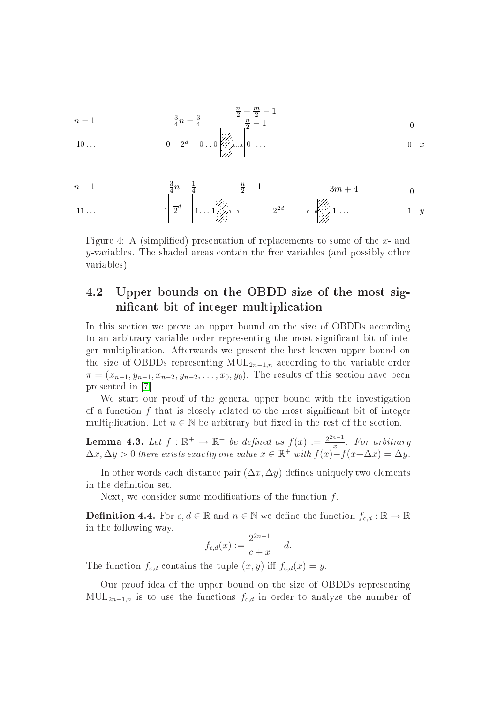

<span id="page-18-0"></span>Figure 4: A (simplified) presentation of replacements to some of the  $x$ - and  $y$ -variables. The shaded areas contain the free variables (and possibly other variables)

#### 4.2 Upper bounds on the OBDD size of the most sigant bit of integrating the company of products and the contract of the contract of the contract of the contract of

In this section we prove an upper bound on the size of OBDDs according to an arbitrary variable order representing the most significant bit of integer multipli
ation. Afterwards we present the best known upper bound on the size of OBDDs representing  $\text{MUL}_{2n-1,n}$  according to the variable order  $\pi = (x_{n-1}, y_{n-1}, x_{n-2}, y_{n-2}, \ldots, x_0, y_0)$ . The results of this section have been presented in  $[7]$ .

We start our proof of the general upper bound with the investigation of a function  $f$  that is closely related to the most significant bit of integer multiplication. Let  $n \in \mathbb{N}$  be arbitrary but fixed in the rest of the section.

<span id="page-18-1"></span>**Lemma 4.3.** Let  $f : \mathbb{R}^+ \to \mathbb{R}^+$  be defined as  $f(x) := \frac{2^{2n-1}}{x}$  $\Delta x, \Delta y > 0$  there exists exactly one value  $x \in \mathbb{R}^+$  with  $f(x) - f(x + \Delta x) = \Delta y$ .

In other words each distance pair  $(\Delta x, \Delta y)$  defines uniquely two elements in the definition set.

Next, we consider some modifications of the function  $f$ .

**Definition 4.4.** For  $c, d \in \mathbb{R}$  and  $n \in \mathbb{N}$  we define the function  $f_{c,d} : \mathbb{R} \to \mathbb{R}$ in the following way.

$$
f_{c,d}(x) := \frac{2^{2n-1}}{c+x} - d.
$$

The function  $f_{c,d}$  contains the tuple  $(x, y)$  iff  $f_{c,d}(x) = y$ .

Our proof idea of the upper bound on the size of OBDDs representing  $\text{MUL}_{2n-1,n}$  is to use the functions  $f_{c,d}$  in order to analyze the number of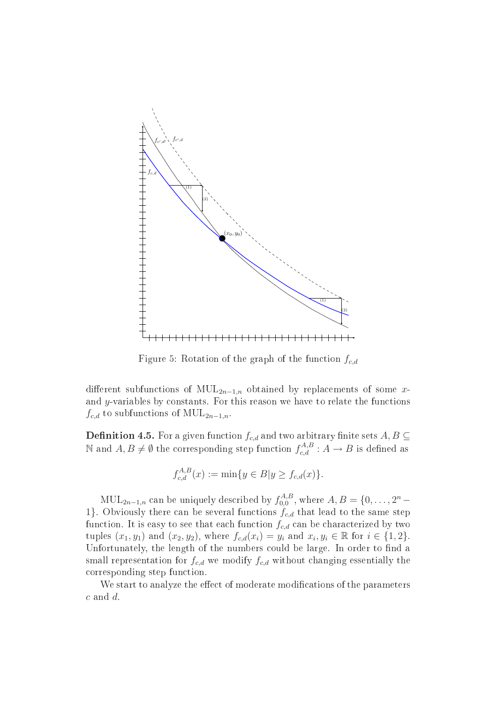

<span id="page-19-0"></span>Figure 5: Rotation of the graph of the function  $f_{c,d}$ 

different subfunctions of MUL<sub>2n-1,n</sub> obtained by replacements of some xand y-variables by constants. For this reason we have to relate the functions  $f_{c,d}$  to subfunctions of MUL<sub>2n-1,n</sub>.

<span id="page-19-1"></span> ${\bf Definition \ 4.5.}$  For a given function  $f_{c,d}$  and two arbitrary finite sets  $A,B \subseteq$ N and  $A, B \neq \emptyset$  the corresponding step function  $f_{c,d}^{A,B}: A \to B$  is defined as

$$
f_{c,d}^{A,B}(x) := \min\{y \in B | y \ge f_{c,d}(x)\}.
$$

 $\text{MUL}_{2n-1,n}$  can be uniquely described by  $f_{0,0}^{A,B}$  $C_{0,0}^{A,B}$ , where  $A, B = \{0, \ldots, 2^n -$ 1}. Obviously there can be several functions  $f_{c,d}$  that lead to the same step function. It is easy to see that each function  $f_{c,d}$  can be characterized by two tuples  $(x_1, y_1)$  and  $(x_2, y_2)$ , where  $f_{c,d}(x_i) = y_i$  and  $x_i, y_i \in \mathbb{R}$  for  $i \in \{1, 2\}$ . Unfortunately, the length of the numbers could be large. In order to find a small representation for  $f_{c,d}$  we modify  $f_{c,d}$  without changing essentially the orresponding step fun
tion.

<span id="page-19-2"></span>We start to analyze the effect of moderate modifications of the parameters  $c$  and  $d$ .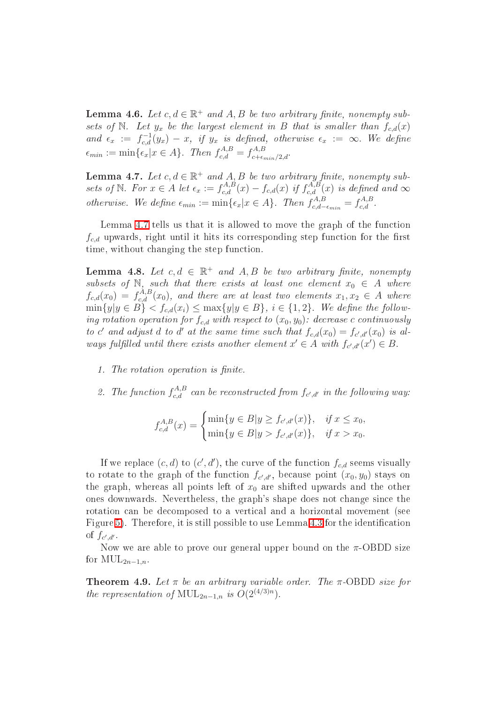**Lemma 4.6.** Let  $c, d \in \mathbb{R}^+$  and  $A, B$  be two arbitrary finite, nonempty subsets of N. Let  $y_x$  be the largest element in B that is smaller than  $f_{c,d}(x)$ and  $\epsilon_x := f_{c,d}^{-1}(y_x) - x$ , if  $y_x$  is defined, otherwise  $\epsilon_x := \infty$ . We define  $\epsilon_{min} := \min\{\epsilon_x | x \in A\}$ . Then  $f_{c,d}^{A,B} = f_{c+\epsilon_i}^{A,B}$  $c+\epsilon_{min}/2,d$ .

<span id="page-20-0"></span>**Lemma 4.7.** Let  $c, d \in \mathbb{R}^+$  and  $A, B$  be two arbitrary finite, nonempty subsets of N. For  $x \in A$  let  $\epsilon_x := f_{c,d}^{A,B}(x) - f_{c,d}(x)$  if  $f_{c,d}^{A,B}(x)$  is defined and  $\infty$ otherwise. We define  $\epsilon_{min} := \min\{\epsilon_x | x \in A\}$ . Then  $f_{c,d}^{A,B}$  $c_{c,d-\epsilon_{min}}^{A,B} = f_{c,d}^{A,B}$  $c,d$  .

Lemma [4.7](#page-20-0) tells us that it is allowed to move the graph of the function  $f_{c,d}$  upwards, right until it hits its corresponding step function for the first time, without changing the step function.

<span id="page-20-1"></span>**Lemma 4.8.** Let  $c, d \in \mathbb{R}^+$  and  $A, B$  be two arbitrary finite, nonempty subsets of  $\mathbb{N}$ , such that there exists at least one element  $x_0 \in A$  where  $f_{c,d}(x_0) = f_{c,d}^{A,B}(x_0)$ , and there are at least two elements  $x_1, x_2 \in A$  where  $\min\{y|y \in B\} < f_{c,d}(x_i) \leq \max\{y|y \in B\}, i \in \{1,2\}.$  We define the following rotation operation for  $f_{c,d}$  with respect to  $(x_0, y_0)$ : decrease c continuously to c' and adjust d to d' at the same time such that  $f_{c,d}(x_0) = f_{c',d'}(x_0)$  is always fulfilled until there exists another element  $x' \in A$  with  $f_{c',d'}(x') \in B$ .

- 1. The rotation operation is nite.
- 2. The function  $f_{c,d}^{A,B}$  can be reconstructed from  $f_{c',d'}$  in the following way:

$$
f_{c,d}^{A,B}(x) = \begin{cases} \min\{y \in B | y \ge f_{c',d'}(x)\}, & \text{if } x \le x_0, \\ \min\{y \in B | y > f_{c',d'}(x)\}, & \text{if } x > x_0. \end{cases}
$$

If we replace  $(c, d)$  to  $(c', d')$ , the curve of the function  $f_{c,d}$  seems visually to rotate to the graph of the function  $f_{c',d'}$ , because point  $(x_0, y_0)$  stays on the graph, whereas all points left of  $x_0$  are shifted upwards and the other ones downwards. Nevertheless, the graph's shape does not hange sin
e the rotation can be decomposed to a vertical and a horizontal movement (see Figure [5\)](#page-19-0). Therefore, it is still possible to use Lemma [4.3](#page-18-1) for the identification of  $f_{c',d'}$ .

<span id="page-20-2"></span>Now we are able to prove our general upper bound on the  $\pi$ -OBDD size for  $\text{MUL}_{2n-1,n}$ .

**Theorem 4.9.** Let  $\pi$  be an arbitrary variable order. The  $\pi$ -OBDD size for the representation of  $\text{MUL}_{2n-1,n}$  is  $O(2^{(4/3)n})$ .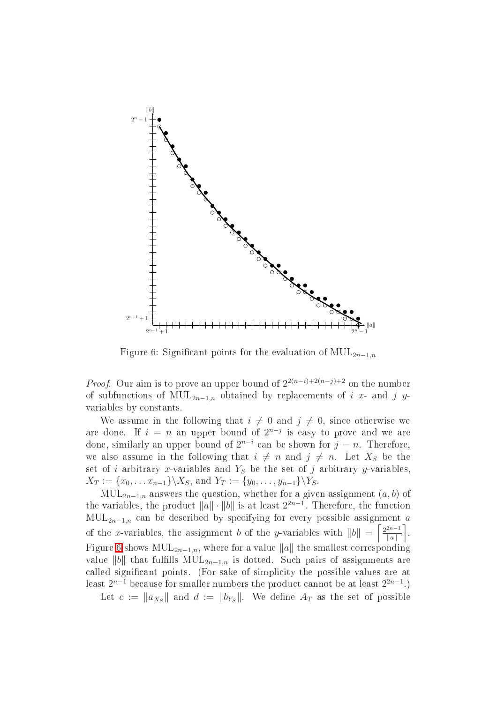

<span id="page-21-0"></span>Figure 6: Significant points for the evaluation of  $\text{MUL}_{2n-1,n}$ 

*Proof.* Our aim is to prove an upper bound of  $2^{2(n-i)+2(n-j)+2}$  on the number of subfunctions of MUL<sub>2n-1,n</sub> obtained by replacements of *i* x- and *j* yvariables by onstants.

We assume in the following that  $i \neq 0$  and  $j \neq 0$ , since otherwise we are done. If  $i = n$  an upper bound of  $2^{n-j}$  is easy to prove and we are done, similarly an upper bound of  $2^{n-i}$  can be shown for  $j = n$ . Therefore, we also assume in the following that  $i \neq n$  and  $j \neq n$ . Let  $X_S$  be the set of i arbitrary x-variables and  $Y<sub>S</sub>$  be the set of j arbitrary y-variables,  $X_T := \{x_0, \ldots x_{n-1}\} \backslash X_S$ , and  $Y_T := \{y_0, \ldots, y_{n-1}\} \backslash Y_S$ .

 $\text{MUL}_{2n-1,n}$  answers the question, whether for a given assignment  $(a, b)$  of the variables, the product  $||a|| \cdot ||b||$  is at least  $2^{2n-1}$ . Therefore, the function  $\text{MUL}_{2n-1,n}$  can be described by specifying for every possible assignment a of the x-variables, the assignment b of the y-variables with  $||b|| = \left\lceil \frac{2^{2n-1}}{||a||} \right\rceil$  $\|a\|$ m . Figure [6](#page-21-0) shows MUL<sub>2n-1,n</sub>, where for a value ||a|| the smallest corresponding value ||b|| that fulfills MUL<sub>2n−1,n</sub> is dotted. Such pairs of assignments are called significant points. (For sake of simplicity the possible values are at least  $2^{n-1}$  because for smaller numbers the product cannot be at least  $2^{2n-1}$ .)

Let  $c := \|a_{X_S}\|$  and  $d := \|b_{Y_S}\|$ . We define  $A_T$  as the set of possible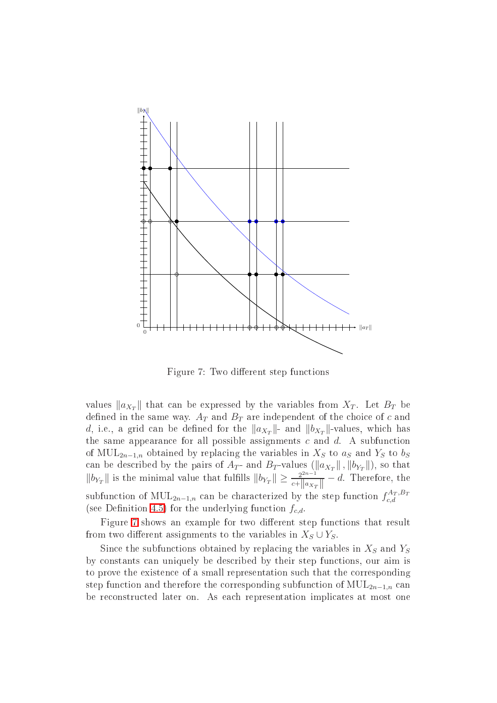

<span id="page-22-0"></span>Figure 7: Two different step functions

values  $\|a_{X_T}\|$  that can be expressed by the variables from  $X_T$ . Let  $B_T$  be defined in the same way.  $A_T$  and  $B_T$  are independent of the choice of c and d, i.e., a grid can be defined for the  $\|a_{X_T}\|$ - and  $\|b_{X_T}\|$ -values, which has the same appearance for all possible assignments  $c$  and  $d$ . A subfunction of MUL<sub>2n-1,n</sub> obtained by replacing the variables in  $X_S$  to  $a_S$  and  $Y_S$  to  $b_S$ can be described by the pairs of  $A_{T}$ - and  $B_{T}$ -values  $(\|a_{X_T}\|, \|b_{Y_T}\|)$ , so that  $||b_{Y_T}||$  is the minimal value that fulfills  $||b_{Y_T}|| \geq \frac{2^{2n-1}}{c+||a_Y||}$  $\frac{2^{2n-1}}{c+\Vert a_{X_T}\Vert} - d.$  Therefore, the subfunction of  $\text{MUL}_{2n-1,n}$  can be characterized by the step function  $f_{c,d}^{A_T,B_T}$ c,d (see Definition [4.5\)](#page-19-1) for the underlying function  $f_{c,d}$ 

Figure [7](#page-22-0) shows an example for two different step functions that result from two different assignments to the variables in  $X_S \cup Y_S$ .

Since the subfunctions obtained by replacing the variables in  $X_S$  and  $Y_S$ by onstants an uniquely be des
ribed by their step fun
tions, our aim is to prove the existen
e of a small representation su
h that the orresponding step function and therefore the corresponding subfunction of  $\text{MUL}_{2n-1,n}$  can be re
onstru
ted later on. As ea
h representation impli
ates at most one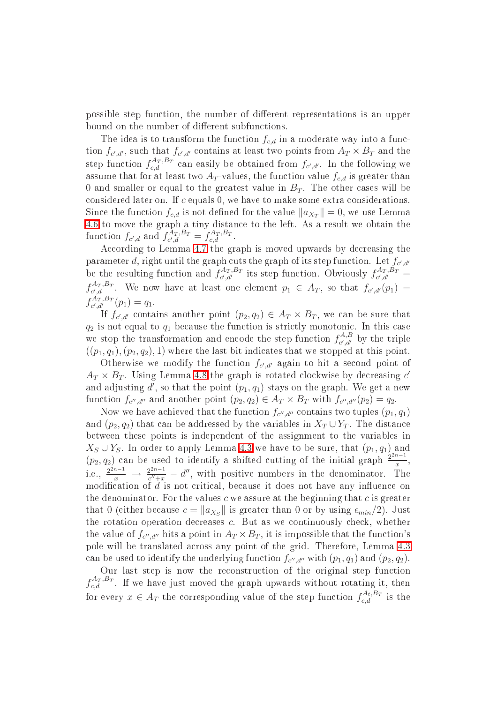possible step function, the number of different representations is an upper bound on the number of different subfunctions.

The idea is to transform the function  $f_{c,d}$  in a moderate way into a function  $f_{c',d'}$ , such that  $f_{c',d'}$  contains at least two points from  $A_T \times B_T$  and the step function  $f_{c,d}^{A_T,B_T}$  can easily be obtained from  $f_{c',d'}$ . In the following we assume that for at least two  $A_T$ -values, the function value  $f_{c,d}$  is greater than 0 and smaller or equal to the greatest value in  $B_T$ . The other cases will be considered later on. If c equals 0, we have to make some extra considerations. Since the function  $f_{c,d}$  is not defined for the value  $||a_{X_T}|| = 0$ , we use Lemma function  $f_{c',d}$  and  $f_{c',d}^{A_T,B_T} = f_{c,d}^{A_T,B_T}$ .  $c^A T, B T = f_{c,d}^{A_T, B_T}$  $c,d$  .

According to Lemma [4.7](#page-20-0) the graph is moved upwards by decreasing the parameter  $d$ , right until the graph cuts the graph of its step function. Let  $f_{c^{\prime},d^{\prime}}$ be the resulting function and  $f_{c',d'}^{A_T,B_T}$  $c^A T, B_T$  its step function. Obviously  $f_{c',d'}^{A_T,B_T}$  $c^{\prime}A_{T},^{B_{T}}=c^{\prime},d^{\prime}$  $f_{c'd}^{A_T,B_T}$ <sup>AT,BT</sup>. We now have at least one element  $p_1 \in A_T$ , so that  $f_{c',d'}(p_1) =$  $f_{c^{\prime},d^{\prime}}^{A_{T},B_{T}}$  $c^A T, B T (p_1) = q_1.$ 

If  $f_{c',d'}$  contains another point  $(p_2,q_2) \in A_T \times B_T$ , we can be sure that  $q_2$  is not equal to  $q_1$  because the function is strictly monotonic. In this case we stop the transformation and encode the step function  $f_{c,d}^{A,B}$  $_{c^{\prime },d^{\prime }}$  by the triple  $((p_1, q_1), (p_2, q_2), 1)$  where the last bit indicates that we stopped at this point.

Otherwise we modify the function  $f_{c',d'}$  again to hit a second point of  $A_T \times B_T$ . Using Lemma [4.8](#page-20-1) the graph is rotated clockwise by decreasing  $c'$ and adjusting  $d'$ , so that the point  $(p_1, q_1)$  stays on the graph. We get a new function  $f_{c'',d''}$  and another point  $(p_2,q_2) \in A_T \times B_T$  with  $f_{c'',d''}(p_2) = q_2$ .

Now we have achieved that the function  $f_{c'',d''}$  contains two tuples  $(p_1, q_1)$ and  $(p_2, q_2)$  that can be addressed by the variables in  $X_T \cup Y_T$ . The distance between these points is independent of the assignment to the variables in  $X_S \cup Y_S$ . In order to apply Lemma [4.3](#page-18-1) we have to be sure, that  $(p_1, q_1)$  and  $(p_2, q_2)$  can be used to identify a shifted cutting of the initial graph  $\frac{2^{2n-1}}{x}$  $_x$ , i.e.,  $\frac{2^{2n-1}}{x} \rightarrow \frac{2^{2n-1}}{c''+x}$  $\frac{e^{2n-1}}{e^{\prime\prime}+x} - d^{\prime\prime}$ , with positive numbers in the denominator. The modification of  $d$  is not critical, because it does not have any influence on the denominator. For the values  $c$  we assure at the beginning that  $c$  is greater that 0 (either because  $c = ||a_{X_S}||$  is greater than 0 or by using  $\epsilon_{min}/2$ ). Just the rotation operation decreases c. But as we continuously check, whether the value of  $f_{c'',d''}$  hits a point in  $A_T\times B_T$ , it is impossible that the function's pole will be translated a
ross any point of the grid. Therefore, Lemma [4.3](#page-18-1) can be used to identify the underlying function  $f_{c'',d''}$  with  $(p_1,q_1)$  and  $(p_2,q_2).$ 

Our last step is now the re
onstru
tion of the original step fun
tion  $f_{c,d}^{A_T,B_T}$  $c_{c,d}$  and the mater just moved the graph upwards without rotating it, then for every  $x \in A_T$  the corresponding value of the step function  $f_{c,d}^{A_t, B_T}$  $c,d$  is the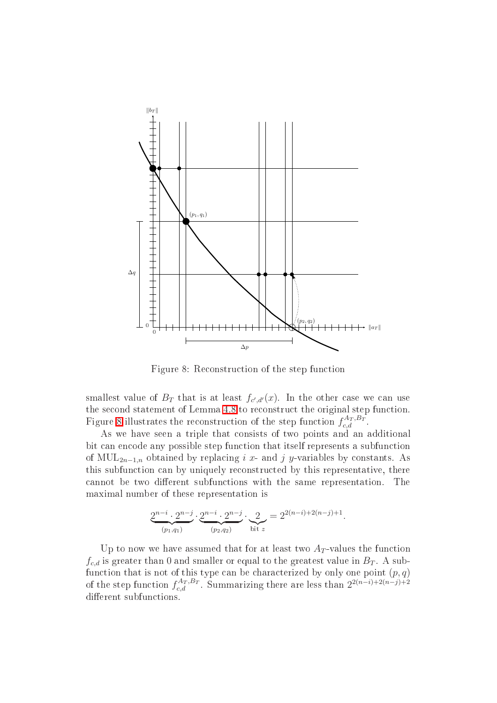

<span id="page-24-0"></span>Figure 8: Reconstruction of the step function

smallest value of  $B_T$  that is at least  $f_{c',d'}(x)$ . In the other case we can use the second statement of Lemma [4.8](#page-20-1) to reconstruct the original step function. Figure [8](#page-24-0) illustrates the reconstruction of the step function  $f_{c,d}^{A_T,B_T}$  $c,d$  .

As we have seen a triple that onsists of two points and an additional bit can encode any possible step function that itself represents a subfunction of MUL<sub>2n-1,n</sub> obtained by replacing i x- and j y-variables by constants. As this subfunction can by uniquely reconstructed by this representative, there cannot be two different subfunctions with the same representation. The maximal number of these representation is

$$
\underbrace{2^{n-i} \cdot 2^{n-j}}_{(p_1,q_1)} \cdot \underbrace{2^{n-i} \cdot 2^{n-j}}_{(p_2,q_2)} \cdot \underbrace{2}_{\text{bit } z} = 2^{2(n-i)+2(n-j)+1}.
$$

Up to now we have assumed that for at least two  $A_T$ -values the function  $f_{c,d}$  is greater than 0 and smaller or equal to the greatest value in  $B_T$ . A subfunction that is not of this type can be characterized by only one point  $(p, q)$ of the step function  $f_{c,d}^{A_T, B_T}$ . Summarizing there are less than  $2^{2(n-i)+2(n-j)+2}$ different subfunctions.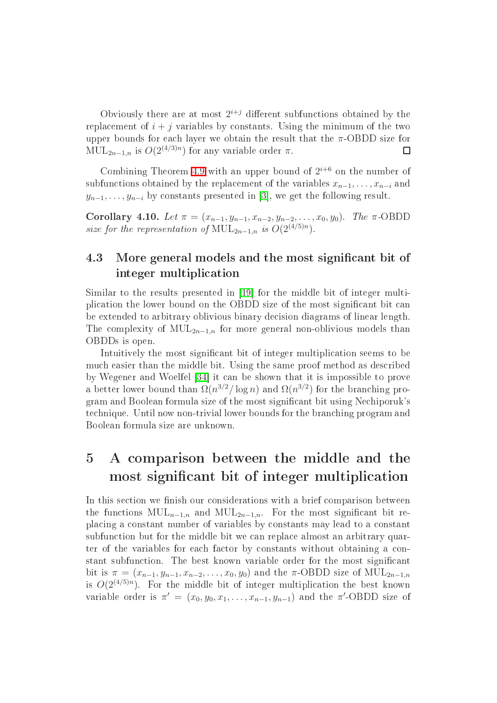Obviously there are at most  $2^{i+j}$  different subfunctions obtained by the replacement of  $i + j$  variables by constants. Using the minimum of the two upper bounds for each layer we obtain the result that the  $\pi$ -OBDD size for  $\text{MUL}_{2n-1,n}$  is  $O(2^{(4/3)n})$  for any variable order  $\pi$ .  $\Box$ 

Combining Theorem [4.9](#page-20-2) with an upper bound of  $2^{i+6}$  on the number of subfunctions obtained by the replacement of the variables  $x_{n-1}, \ldots, x_{n-i}$  and  $y_{n-1}, \ldots, y_{n-i}$  by constants presented in [3], we get the following result.

Corollary 4.10. Let  $\pi = (x_{n-1}, y_{n-1}, x_{n-2}, y_{n-2}, \ldots, x_0, y_0)$ . The  $\pi$ -OBDD size for the representation of  $\text{MUL}_{2n-1,n}$  is  $O(2^{(4/5)n})$ .

#### 4.3More general models and the most significant bit of integer multipli
ation

Similar to the results presented in  $|19|$  for the middle bit of integer multiplication the lower bound on the OBDD size of the most significant bit can be extended to arbitrary oblivious binary decision diagrams of linear length. The complexity of  $\text{MUL}_{2n-1,n}$  for more general non-oblivious models than OBDDs is open.

Intuitively the most significant bit of integer multiplication seems to be mu
h easier than the middle bit. Using the same proof method as des
ribed by Wegener and Woelfel [34] it can be shown that it is impossible to prove a better lower bound than  $\Omega(n^{3/2}/\log n)$  and  $\Omega(n^{3/2})$  for the branching program and Boolean formula size of the most significant bit using Nechiporuk's te
hnique. Until now non-trivial lower bounds for the bran
hing program and Boolean formula size are unknown.

## 5 A omparison between the middle and the most significant bit of integer multiplication

In this section we finish our considerations with a brief comparison between the functions  $\text{MUL}_{n-1,n}$  and  $\text{MUL}_{2n-1,n}$ . For the most significant bit repla
ing a onstant number of variables by onstants may lead to a onstant subfunction but for the middle bit we can replace almost an arbitrary quarter of the variables for each factor by constants without obtaining a constant subfunction. The best known variable order for the most significant bit is  $\pi = (x_{n-1}, y_{n-1}, x_{n-2}, \ldots, x_0, y_0)$  and the  $\pi$ -OBDD size of MUL<sub>2n-1,n</sub> is  $O(2^{(4/5)n})$ . For the middle bit of integer multiplication the best known variable order is  $\pi' = (x_0, y_0, x_1, \ldots, x_{n-1}, y_{n-1})$  and the  $\pi'$ -OBDD size of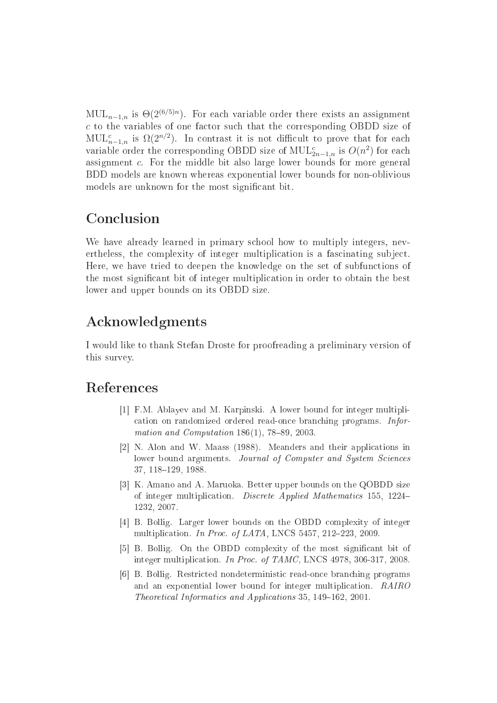$\text{MUL}_{n-1,n}$  is  $\Theta(2^{(6/5)n})$ . For each variable order there exists an assignment  $c$  to the variables of one factor such that the corresponding OBDD size of  $\text{MUL}_{n-1,n}^c$  is  $\Omega(2^{n/2})$ . In contrast it is not difficult to prove that for each variable order the corresponding OBDD size of  $\mathrm{MUL}_{2n-1,n}^c$  is  $O(n^2)$  for each assignment c. For the middle bit also large lower bounds for more general BDD models are known whereas exponential lower bounds for non-oblivious models are unknown for the most significant bit.

### **Conclusion**

We have already learned in primary school how to multiply integers, nevertheless, the complexity of integer multiplication is a fascinating subject. Here, we have tried to deepen the knowledge on the set of subfun
tions of the most significant bit of integer multiplication in order to obtain the best lower and upper bounds on its OBDD size.

### Acknowledgments

I would like to thank Stefan Droste for proofreading a preliminary version of this survey.

### <span id="page-26-3"></span><span id="page-26-2"></span>References

- [1] F.M. Ablayev and M. Karpinski. A lower bound for integer multipliation on randomized ordered read-on
e bran
hing programs. Information and Computation  $186(1)$ ,  $78-89$ ,  $2003$ .
- [2] N. Alon and W. Maass (1988). Meanders and their applications in lower bound arguments. Journal of Computer and System Sciences 37, 118-129, 1988.
- <span id="page-26-1"></span>[3] K. Amano and A. Maruoka. Better upper bounds on the QOBDD size of integer multiplication. *Discrete Applied Mathematics* 155, 1224– 1232, 2007.
- <span id="page-26-5"></span><span id="page-26-4"></span>[4] B. Bollig. Larger lower bounds on the OBDD complexity of integer multiplication. In Proc. of LATA, LNCS 5457, 212-223, 2009.
- <span id="page-26-0"></span>[5] B. Bollig. On the OBDD complexity of the most significant bit of integer multiplication. In Proc. of TAMC, LNCS 4978, 306-317, 2008.
- [6] B. Bollig. Restricted nondeterministic read-once branching programs and an exponential lower bound for integer multiplication. RAIRO Theoretical Informatics and Applications 35, 149–162, 2001.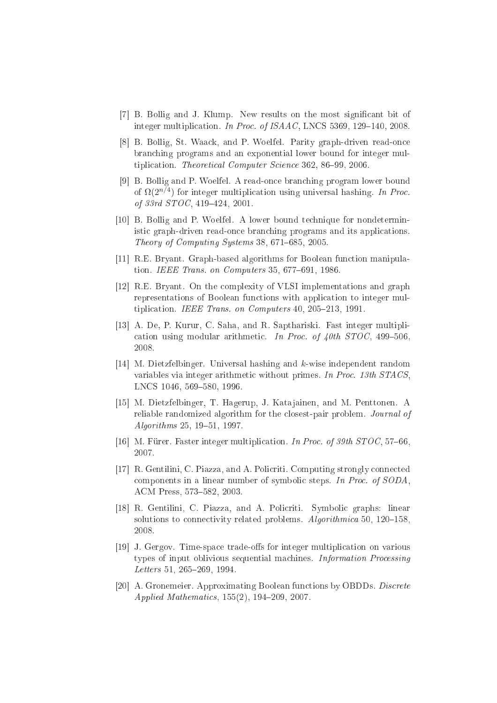- <span id="page-27-13"></span><span id="page-27-11"></span>[7] B. Bollig and J. Klump. New results on the most significant bit of integer multiplication. In Proc. of ISAAC, LNCS  $5369, 129-140, 2008$ .
- [8] B. Bollig, St. Waack, and P. Woelfel. Parity graph-driven read-once bran
hing programs and an exponential lower bound for integer multiplication. Theoretical Computer Science 362, 86-99, 2006.
- <span id="page-27-10"></span>[9] B. Bollig and P. Woelfel. A read-once branching program lower bound of  $\Omega(2^{n/4})$  for integer multiplication using universal hashing. In Proc. of 33rd STOC, 419-424, 2001.
- <span id="page-27-12"></span>[10] B. Bollig and P. Woelfel. A lower bound technique for nondeterministic graph-driven read-once branching programs and its applications Theory of Computing Systems  $38, 671-685, 2005$ .
- <span id="page-27-3"></span><span id="page-27-2"></span>[11] R.E. Bryant. Graph-based algorithms for Boolean function manipulation. IEEE Trans. on Computers  $35, 677-691, 1986$ .
- [12] R.E. Bryant. On the complexity of VLSI implementations and graph representations of Boolean functions with application to integer multiplication. IEEE Trans. on Computers  $40, 205-213, 1991$ .
- <span id="page-27-1"></span>[13] A. De, P. Kurur, C. Saha, and R. Sapthariski. Fast integer multiplication using modular arithmetic. In Proc. of  $40th$  STOC, 499-506, 2008.
- <span id="page-27-8"></span>[14] M. Dietzfelbinger. Universal hashing and  $k$ -wise independent random variables via integer arithmetic without primes. In Proc. 13th STACS, LNCS 1046, 569-580, 1996.
- <span id="page-27-9"></span>[15] M. Dietzfelbinger, T. Hagerup, J. Kata jainen, and M. Penttonen. A reliable randomized algorithm for the closest-pair problem. Journal of Algorithms 25, 19-51, 1997.
- <span id="page-27-4"></span><span id="page-27-0"></span>[16] M. Fürer. Faster integer multiplication. In Proc. of 39th  $STOC$ , 57–66, 2007.
- [17] R. Gentilini, C. Piazza, and A. Policriti. Computing strongly connected components in a linear number of symbolic steps. In Proc. of  $SODA$ . ACM Press, 573-582, 2003.
- <span id="page-27-5"></span>[18] R. Gentilini, C. Piazza, and A. Policriti. Symbolic graphs: linear solutions to connectivity related problems. Algorithmica 50, 120–158, 2008.
- <span id="page-27-7"></span>[19] J. Gergov. Time-space trade-offs for integer multiplication on various types of input oblivious sequential machines. *Information Processing*  $Letters$  51, 265-269, 1994.
- <span id="page-27-6"></span>[20] A. Gronemeier. Approximating Boolean functions by OBDDs. *Discrete* Applied Mathematics, 155(2), 194-209, 2007.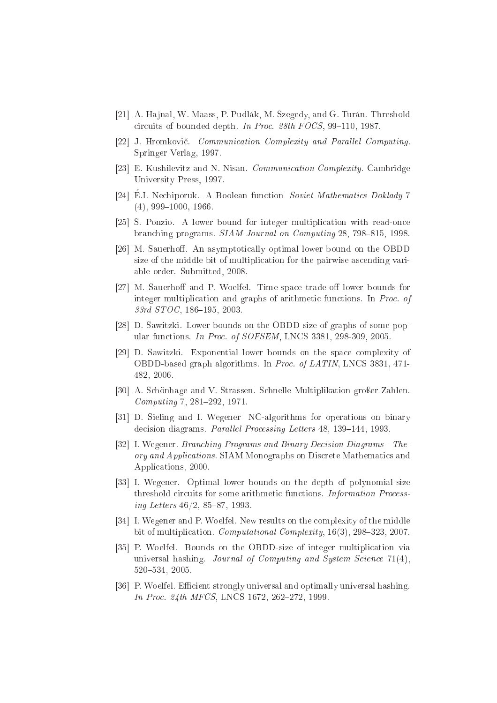- <span id="page-28-6"></span><span id="page-28-0"></span>[21] A. Hajnal, W. Maass, P. Pudlák, M. Szegedy, and G. Turán. Threshold circuits of bounded depth. In Proc. 28th  $FOCS$ , 99-110, 1987.
- <span id="page-28-7"></span>[22] J. Hromkovič. Communication Complexity and Parallel Computing. Springer Verlag, 1997.
- <span id="page-28-14"></span>[23] E. Kushilevitz and N. Nisan. *Communication Complexity*. Cambridge University Press, 1997.
- <span id="page-28-11"></span>[24] É.I. Nechiporuk. A Boolean function Soviet Mathematics Doklady 7  $(4)$ , 999-1000, 1966.
- <span id="page-28-9"></span>[25] S. Ponzio. A lower bound for integer multiplication with read-once branching programs. *SIAM Journal on Computing* 28, 798–815, 1998.
- [26] M. Sauerhoff. An asymptotically optimal lower bound on the OBDD size of the middle bit of multiplication for the pairwise ascending variable order. Submitted, 2008.
- <span id="page-28-10"></span>[27] M. Sauerhoff and P. Woelfel. Time-space trade-off lower bounds for integer multiplication and graphs of arithmetic functions. In Proc. of  $33rd$  STOC, 186-195, 2003.
- <span id="page-28-4"></span><span id="page-28-3"></span>[28] D. Sawitzki. Lower bounds on the OBDD size of graphs of some popular fun
tions. In Pro
. of SOFSEM, LNCS 3381, 298-309, 2005.
- [29] D. Sawitzki. Exponential lower bounds on the space complexity of OBDD-based graph algorithms. In Pro
. of LATIN, LNCS 3831, 471- 482, 2006.
- <span id="page-28-5"></span><span id="page-28-1"></span>[30] A. Schönhage and V. Strassen. Schnelle Multiplikation großer Zahlen. Computing 7, 281-292, 1971.
- <span id="page-28-2"></span>[31] D. Sieling and I. Wegener NC-algorithms for operations on binary decision diagrams. Parallel Processing Letters 48, 139-144, 1993.
- [32] I. Wegener. Branching Programs and Binary Decision Diagrams Theory and Appli
ations. SIAM Monographs on Dis
rete Mathemati
s and Appli
ations, 2000.
- <span id="page-28-15"></span>[33] I. Wegener. Optimal lower bounds on the depth of polynomial-size threshold circuits for some arithmetic functions. Information Processing Letters  $46/2, 85-87, 1993$ .
- <span id="page-28-13"></span><span id="page-28-8"></span>[34] I. Wegener and P. Woelfel. New results on the complexity of the middle bit of multiplication. *Computational Complexity*,  $16(3)$ ,  $298-323$ ,  $2007$ .
- [35] P. Woelfel. Bounds on the OBDD-size of integer multiplication via universal hashing. Journal of Computing and System Science  $71(4)$ , 520-534, 2005.
- <span id="page-28-12"></span>[36] P. Woelfel. Efficient strongly universal and optimally universal hashing. In Proc. 24th MFCS, LNCS 1672, 262-272, 1999